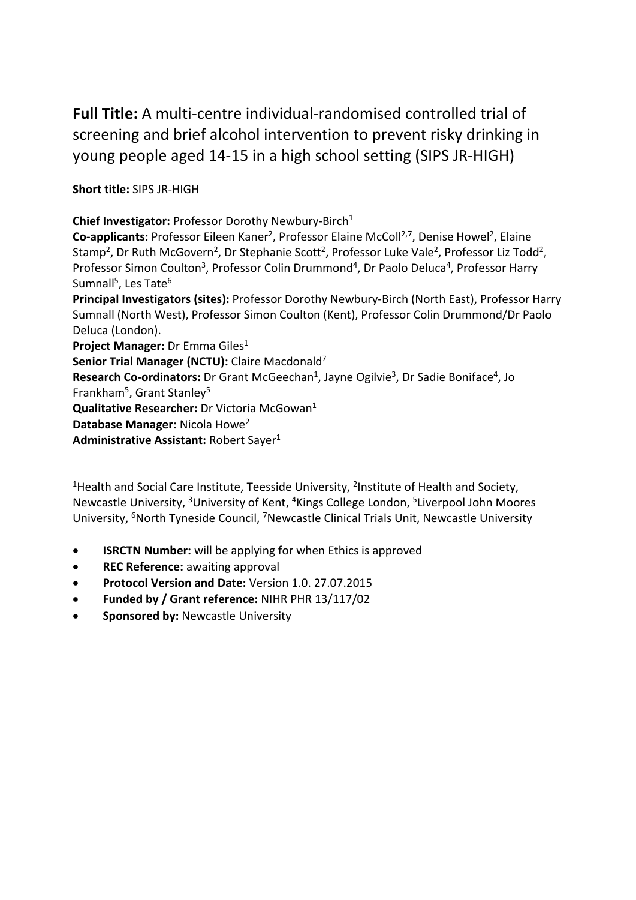**Full Title:** A multi-centre individual-randomised controlled trial of screening and brief alcohol intervention to prevent risky drinking in young people aged 14-15 in a high school setting (SIPS JR-HIGH)

**Short title:** SIPS JR-HIGH

**Chief Investigator:** Professor Dorothy Newbury-Birch<sup>1</sup>

**Co-applicants:** Professor Eileen Kaner<sup>2</sup>, Professor Elaine McColl<sup>2,7</sup>, Denise Howel<sup>2</sup>, Elaine Stamp<sup>2</sup>, Dr Ruth McGovern<sup>2</sup>, Dr Stephanie Scott<sup>2</sup>, Professor Luke Vale<sup>2</sup>, Professor Liz Todd<sup>2</sup>, Professor Simon Coulton<sup>3</sup>, Professor Colin Drummond<sup>4</sup>, Dr Paolo Deluca<sup>4</sup>, Professor Harry Sumnall<sup>5</sup>, Les Tate<sup>6</sup>

**Principal Investigators (sites):** Professor Dorothy Newbury-Birch (North East), Professor Harry Sumnall (North West), Professor Simon Coulton (Kent), Professor Colin Drummond/Dr Paolo Deluca (London).

**Project Manager:** Dr Emma Giles<sup>1</sup>

**Senior Trial Manager (NCTU):** Claire Macdonald7

**Research Co-ordinators:** Dr Grant McGeechan<sup>1</sup>, Jayne Ogilvie<sup>3</sup>, Dr Sadie Boniface<sup>4</sup>, Jo Frankham<sup>5</sup>, Grant Stanley<sup>5</sup>

**Qualitative Researcher:** Dr Victoria McGowan<sup>1</sup>

**Database Manager:** Nicola Howe2

Administrative Assistant: Robert Sayer<sup>1</sup>

<sup>1</sup> Health and Social Care Institute, Teesside University, <sup>2</sup> Institute of Health and Society, Newcastle University, 3University of Kent, 4Kings College London, 5Liverpool John Moores University, <sup>6</sup>North Tyneside Council, <sup>7</sup>Newcastle Clinical Trials Unit, Newcastle University

- **ISRCTN Number:** will be applying for when Ethics is approved
- **REC Reference:** awaiting approval
- **Protocol Version and Date:** Version 1.0. 27.07.2015
- **Funded by / Grant reference:** NIHR PHR 13/117/02
- **Sponsored by:** Newcastle University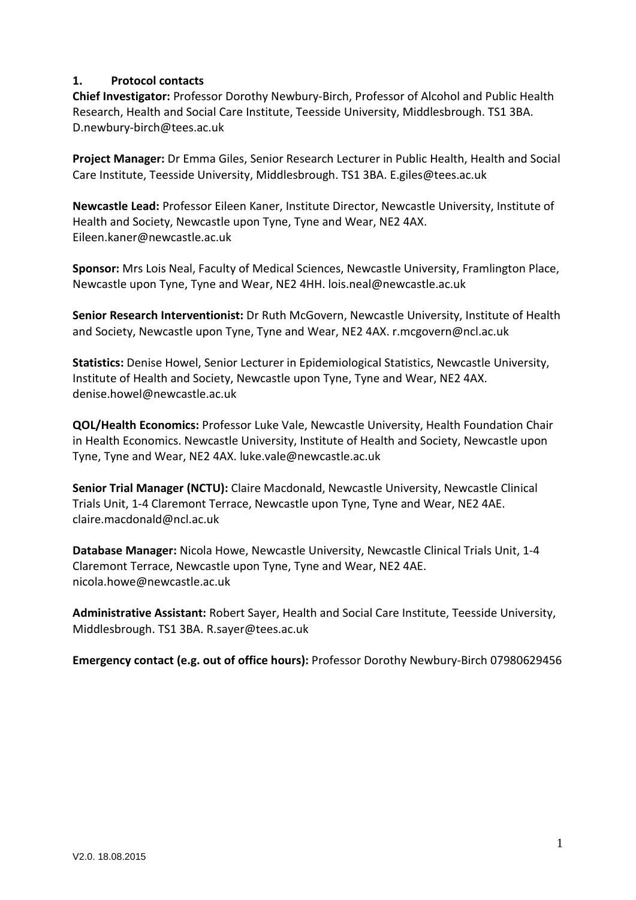### **1. Protocol contacts**

**Chief Investigator:** Professor Dorothy Newbury-Birch, Professor of Alcohol and Public Health Research, Health and Social Care Institute, Teesside University, Middlesbrough. TS1 3BA. D.newbury-birch@tees.ac.uk

**Project Manager:** Dr Emma Giles, Senior Research Lecturer in Public Health, Health and Social Care Institute, Teesside University, Middlesbrough. TS1 3BA. E.giles@tees.ac.uk

**Newcastle Lead:** Professor Eileen Kaner, Institute Director, Newcastle University, Institute of Health and Society, Newcastle upon Tyne, Tyne and Wear, NE2 4AX. Eileen.kaner@newcastle.ac.uk

**Sponsor:** Mrs Lois Neal, Faculty of Medical Sciences, Newcastle University, Framlington Place, Newcastle upon Tyne, Tyne and Wear, NE2 4HH. lois.neal@newcastle.ac.uk

**Senior Research Interventionist:** Dr Ruth McGovern, Newcastle University, Institute of Health and Society, Newcastle upon Tyne, Tyne and Wear, NE2 4AX. r.mcgovern@ncl.ac.uk

**Statistics:** Denise Howel, Senior Lecturer in Epidemiological Statistics, Newcastle University, Institute of Health and Society, Newcastle upon Tyne, Tyne and Wear, NE2 4AX. denise.howel@newcastle.ac.uk

**QOL/Health Economics:** Professor Luke Vale, Newcastle University, Health Foundation Chair in Health Economics. Newcastle University, Institute of Health and Society, Newcastle upon Tyne, Tyne and Wear, NE2 4AX. luke.vale@newcastle.ac.uk

**Senior Trial Manager (NCTU):** Claire Macdonald, Newcastle University, Newcastle Clinical Trials Unit, 1-4 Claremont Terrace, Newcastle upon Tyne, Tyne and Wear, NE2 4AE. claire.macdonald@ncl.ac.uk

**Database Manager:** Nicola Howe, Newcastle University, Newcastle Clinical Trials Unit, 1-4 Claremont Terrace, Newcastle upon Tyne, Tyne and Wear, NE2 4AE. nicola.howe@newcastle.ac.uk

**Administrative Assistant:** Robert Sayer, Health and Social Care Institute, Teesside University, Middlesbrough. TS1 3BA. R.sayer@tees.ac.uk

**Emergency contact (e.g. out of office hours):** Professor Dorothy Newbury-Birch 07980629456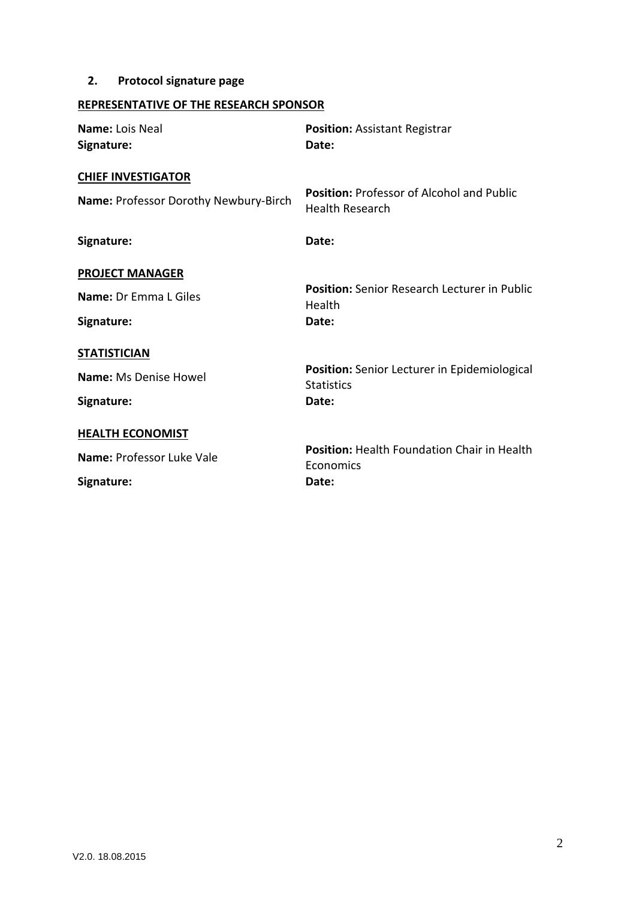# **2. Protocol signature page**

# **REPRESENTATIVE OF THE RESEARCH SPONSOR**

| Name: Lois Neal<br>Signature:         | <b>Position: Assistant Registrar</b><br>Date:                     |
|---------------------------------------|-------------------------------------------------------------------|
| <b>CHIEF INVESTIGATOR</b>             | <b>Position: Professor of Alcohol and Public</b>                  |
| Name: Professor Dorothy Newbury-Birch | <b>Health Research</b>                                            |
| Signature:                            | Date:                                                             |
| <b>PROJECT MANAGER</b>                |                                                                   |
| <b>Name: Dr Fmma L Giles</b>          | <b>Position:</b> Senior Research Lecturer in Public<br>Health     |
| Signature:                            | Date:                                                             |
| <b>STATISTICIAN</b>                   |                                                                   |
| <b>Name: Ms Denise Howel</b>          | Position: Senior Lecturer in Epidemiological<br><b>Statistics</b> |
| Signature:                            | Date:                                                             |
| <b>HEALTH ECONOMIST</b>               |                                                                   |
| Name: Professor Luke Vale             | Position: Health Foundation Chair in Health<br>Economics          |
| Signature:                            | Date:                                                             |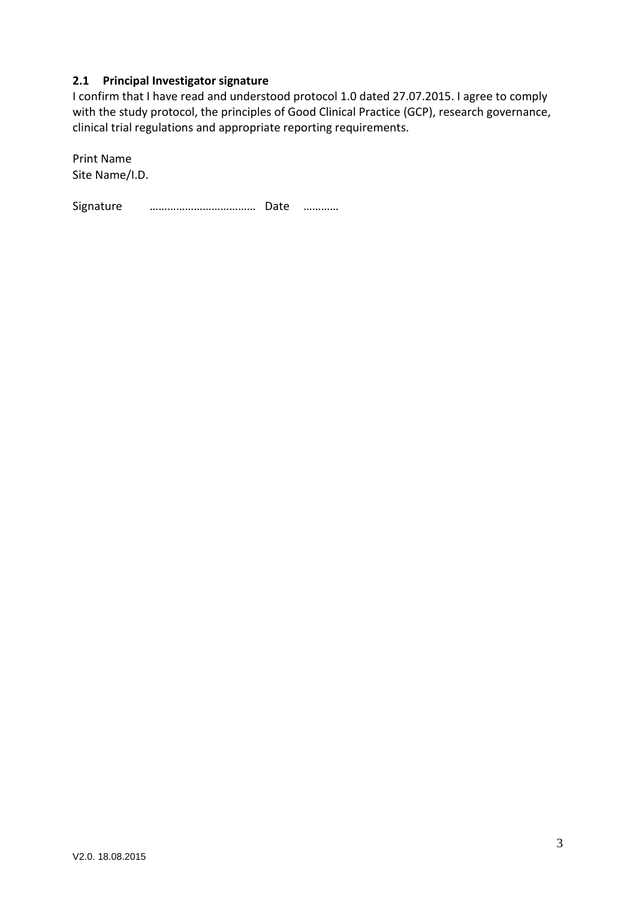### **2.1 Principal Investigator signature**

I confirm that I have read and understood protocol 1.0 dated 27.07.2015. I agree to comply with the study protocol, the principles of Good Clinical Practice (GCP), research governance, clinical trial regulations and appropriate reporting requirements.

Print Name Site Name/I.D.

Signature ……………………………… Date …………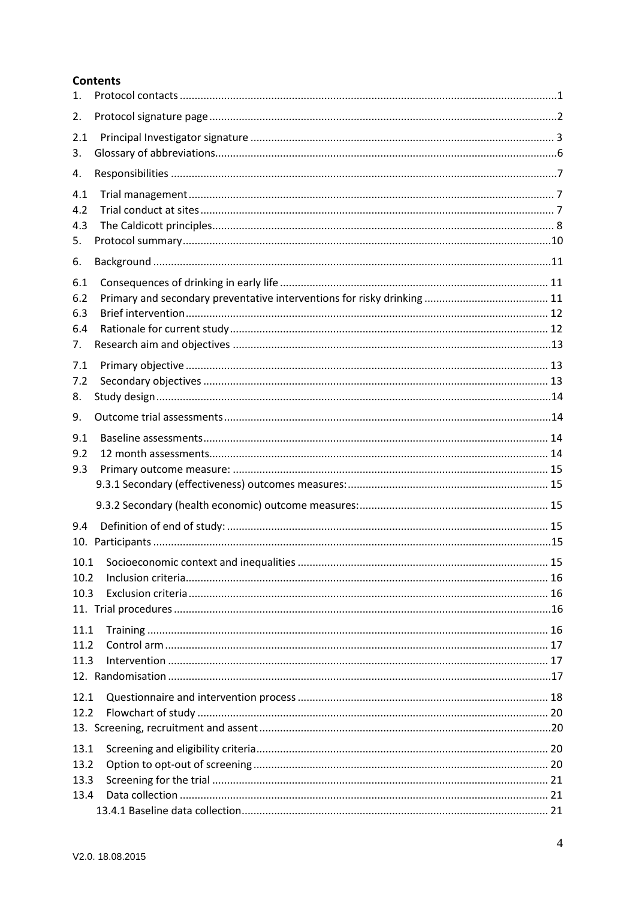#### **Contents**

| 1.                             |  |
|--------------------------------|--|
| 2.                             |  |
| 2.1<br>3.                      |  |
| 4.                             |  |
| 4.1<br>4.2<br>4.3<br>5.        |  |
| 6.                             |  |
| 6.1<br>6.2<br>6.3<br>6.4<br>7. |  |
| 7.1<br>7.2<br>8.               |  |
| 9.                             |  |
| 9.1<br>9.2<br>9.3              |  |
|                                |  |
| 9.4                            |  |
| 10.1<br>10.2<br>10.3           |  |
| 11.1<br>11.2<br>11.3           |  |
| 12.1<br>12.2                   |  |
| 13.1<br>13.2<br>13.3<br>13.4   |  |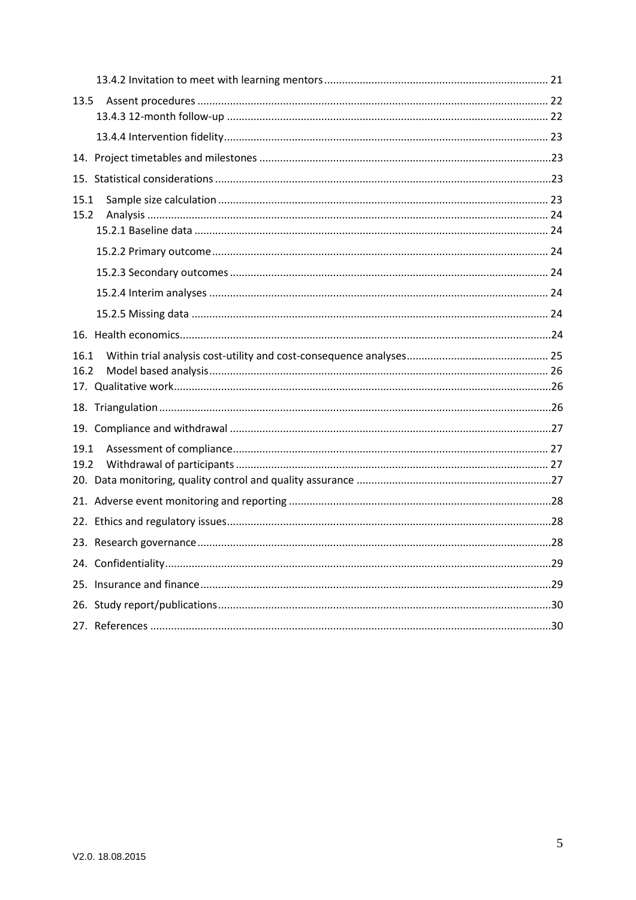| 13.5         |  |
|--------------|--|
|              |  |
|              |  |
|              |  |
| 15.1<br>15.2 |  |
|              |  |
|              |  |
|              |  |
|              |  |
|              |  |
| 16.1<br>16.2 |  |
|              |  |
|              |  |
| 19.1<br>19.2 |  |
|              |  |
|              |  |
|              |  |
|              |  |
|              |  |
|              |  |
|              |  |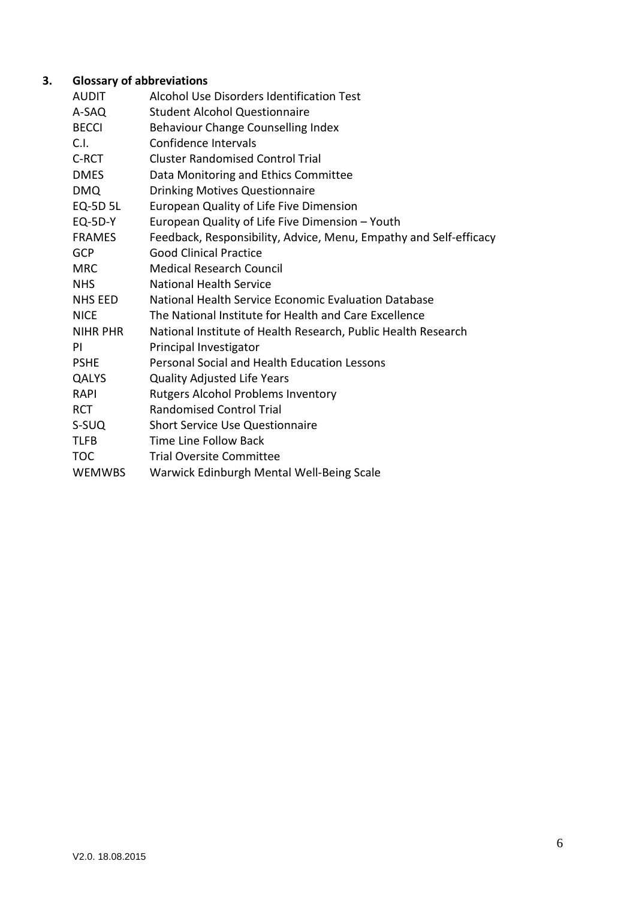# **3. Glossary of abbreviations**

| AUDIT           | Alcohol Use Disorders Identification Test                         |
|-----------------|-------------------------------------------------------------------|
| A-SAQ           | <b>Student Alcohol Questionnaire</b>                              |
| <b>BECCI</b>    | Behaviour Change Counselling Index                                |
| C.I.            | Confidence Intervals                                              |
| C-RCT           | <b>Cluster Randomised Control Trial</b>                           |
| <b>DMES</b>     | Data Monitoring and Ethics Committee                              |
| <b>DMQ</b>      | Drinking Motives Questionnaire                                    |
| EQ-5D 5L        | European Quality of Life Five Dimension                           |
| <b>EQ-5D-Y</b>  | European Quality of Life Five Dimension - Youth                   |
| <b>FRAMES</b>   | Feedback, Responsibility, Advice, Menu, Empathy and Self-efficacy |
| <b>GCP</b>      | <b>Good Clinical Practice</b>                                     |
| <b>MRC</b>      | <b>Medical Research Council</b>                                   |
| <b>NHS</b>      | <b>National Health Service</b>                                    |
| <b>NHS EED</b>  | National Health Service Economic Evaluation Database              |
| <b>NICE</b>     | The National Institute for Health and Care Excellence             |
| <b>NIHR PHR</b> | National Institute of Health Research, Public Health Research     |
| ΡI              | Principal Investigator                                            |
| <b>PSHE</b>     | Personal Social and Health Education Lessons                      |
| QALYS           | <b>Quality Adjusted Life Years</b>                                |
| <b>RAPI</b>     | <b>Rutgers Alcohol Problems Inventory</b>                         |
| <b>RCT</b>      | <b>Randomised Control Trial</b>                                   |
| S-SUQ           | <b>Short Service Use Questionnaire</b>                            |
| <b>TLFB</b>     | <b>Time Line Follow Back</b>                                      |
| TOC             | <b>Trial Oversite Committee</b>                                   |
| <b>WEMWBS</b>   | Warwick Edinburgh Mental Well-Being Scale                         |
|                 |                                                                   |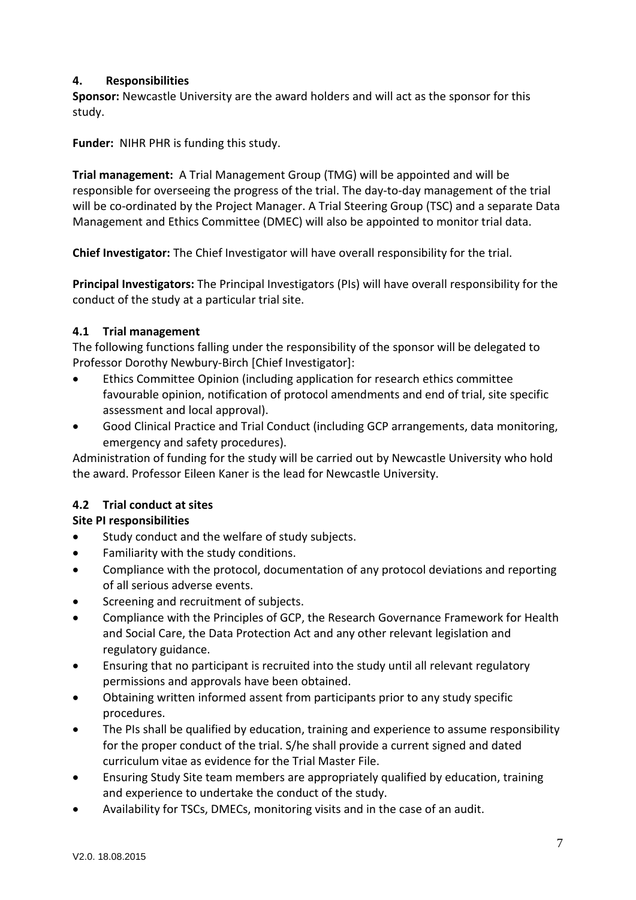## **4. Responsibilities**

**Sponsor:** Newcastle University are the award holders and will act as the sponsor for this study.

**Funder:** NIHR PHR is funding this study.

**Trial management:** A Trial Management Group (TMG) will be appointed and will be responsible for overseeing the progress of the trial. The day-to-day management of the trial will be co-ordinated by the Project Manager. A Trial Steering Group (TSC) and a separate Data Management and Ethics Committee (DMEC) will also be appointed to monitor trial data.

**Chief Investigator:** The Chief Investigator will have overall responsibility for the trial.

**Principal Investigators:** The Principal Investigators (PIs) will have overall responsibility for the conduct of the study at a particular trial site.

# **4.1 Trial management**

The following functions falling under the responsibility of the sponsor will be delegated to Professor Dorothy Newbury-Birch [Chief Investigator]:

- Ethics Committee Opinion (including application for research ethics committee favourable opinion, notification of protocol amendments and end of trial, site specific assessment and local approval).
- Good Clinical Practice and Trial Conduct (including GCP arrangements, data monitoring, emergency and safety procedures).

Administration of funding for the study will be carried out by Newcastle University who hold the award. Professor Eileen Kaner is the lead for Newcastle University.

# **4.2 Trial conduct at sites**

# **Site PI responsibilities**

- Study conduct and the welfare of study subjects.
- Familiarity with the study conditions.
- Compliance with the protocol, documentation of any protocol deviations and reporting of all serious adverse events.
- Screening and recruitment of subjects.
- Compliance with the Principles of GCP, the Research Governance Framework for Health and Social Care, the Data Protection Act and any other relevant legislation and regulatory guidance.
- Ensuring that no participant is recruited into the study until all relevant regulatory permissions and approvals have been obtained.
- Obtaining written informed assent from participants prior to any study specific procedures.
- The PIs shall be qualified by education, training and experience to assume responsibility for the proper conduct of the trial. S/he shall provide a current signed and dated curriculum vitae as evidence for the Trial Master File.
- Ensuring Study Site team members are appropriately qualified by education, training and experience to undertake the conduct of the study.
- Availability for TSCs, DMECs, monitoring visits and in the case of an audit.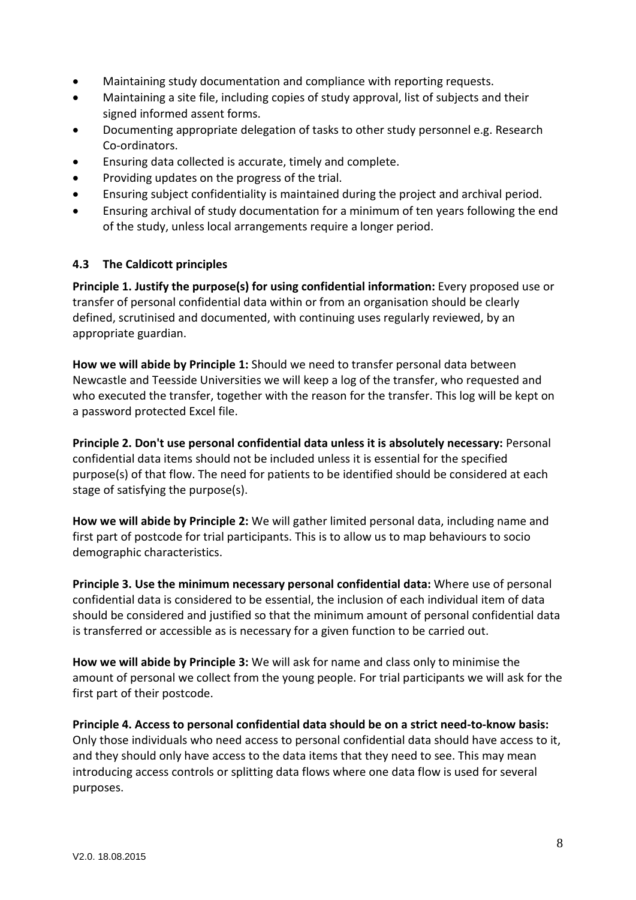- Maintaining study documentation and compliance with reporting requests.
- Maintaining a site file, including copies of study approval, list of subjects and their signed informed assent forms.
- Documenting appropriate delegation of tasks to other study personnel e.g. Research Co-ordinators.
- Ensuring data collected is accurate, timely and complete.
- Providing updates on the progress of the trial.
- Ensuring subject confidentiality is maintained during the project and archival period.
- Ensuring archival of study documentation for a minimum of ten years following the end of the study, unless local arrangements require a longer period.

#### **4.3 The Caldicott principles**

**Principle 1. Justify the purpose(s) for using confidential information:** Every proposed use or transfer of personal confidential data within or from an organisation should be clearly defined, scrutinised and documented, with continuing uses regularly reviewed, by an appropriate guardian.

**How we will abide by Principle 1:** Should we need to transfer personal data between Newcastle and Teesside Universities we will keep a log of the transfer, who requested and who executed the transfer, together with the reason for the transfer. This log will be kept on a password protected Excel file.

**Principle 2. Don't use personal confidential data unless it is absolutely necessary:** Personal confidential data items should not be included unless it is essential for the specified purpose(s) of that flow. The need for patients to be identified should be considered at each stage of satisfying the purpose(s).

**How we will abide by Principle 2:** We will gather limited personal data, including name and first part of postcode for trial participants. This is to allow us to map behaviours to socio demographic characteristics.

**Principle 3. Use the minimum necessary personal confidential data:** Where use of personal confidential data is considered to be essential, the inclusion of each individual item of data should be considered and justified so that the minimum amount of personal confidential data is transferred or accessible as is necessary for a given function to be carried out.

**How we will abide by Principle 3:** We will ask for name and class only to minimise the amount of personal we collect from the young people. For trial participants we will ask for the first part of their postcode.

**Principle 4. Access to personal confidential data should be on a strict need-to-know basis:**  Only those individuals who need access to personal confidential data should have access to it, and they should only have access to the data items that they need to see. This may mean introducing access controls or splitting data flows where one data flow is used for several purposes.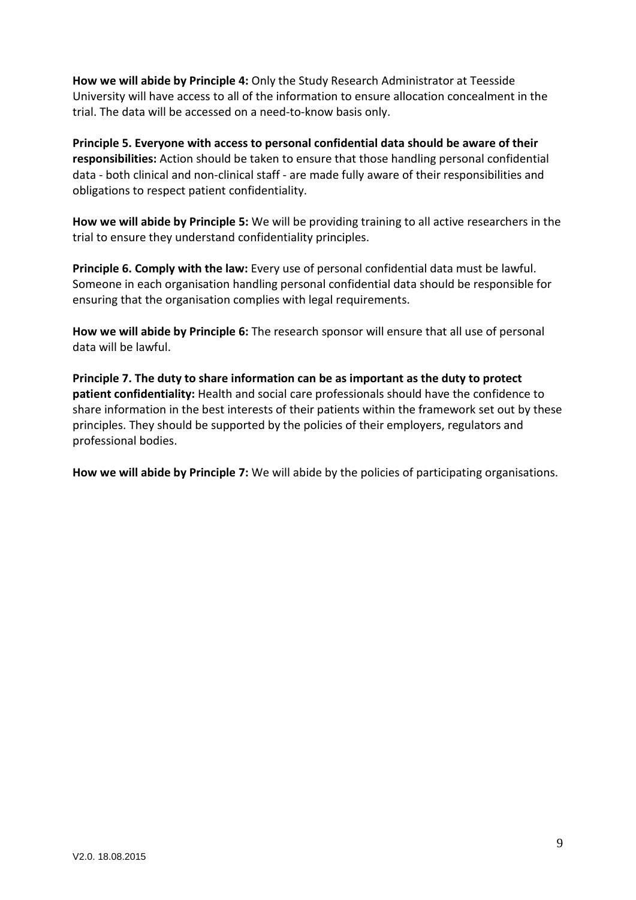**How we will abide by Principle 4:** Only the Study Research Administrator at Teesside University will have access to all of the information to ensure allocation concealment in the trial. The data will be accessed on a need-to-know basis only.

**Principle 5. Everyone with access to personal confidential data should be aware of their responsibilities:** Action should be taken to ensure that those handling personal confidential data - both clinical and non-clinical staff - are made fully aware of their responsibilities and obligations to respect patient confidentiality.

**How we will abide by Principle 5:** We will be providing training to all active researchers in the trial to ensure they understand confidentiality principles.

**Principle 6. Comply with the law:** Every use of personal confidential data must be lawful. Someone in each organisation handling personal confidential data should be responsible for ensuring that the organisation complies with legal requirements.

**How we will abide by Principle 6:** The research sponsor will ensure that all use of personal data will be lawful.

**Principle 7. The duty to share information can be as important as the duty to protect patient confidentiality:** Health and social care professionals should have the confidence to share information in the best interests of their patients within the framework set out by these principles. They should be supported by the policies of their employers, regulators and professional bodies.

**How we will abide by Principle 7:** We will abide by the policies of participating organisations.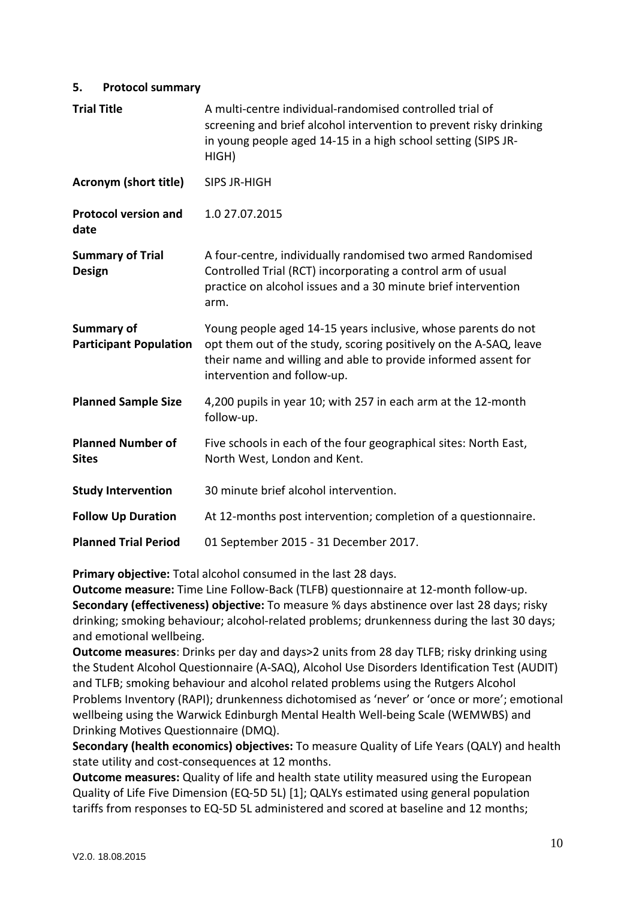#### **5. Protocol summary**

| <b>Trial Title</b>                                 | A multi-centre individual-randomised controlled trial of<br>screening and brief alcohol intervention to prevent risky drinking<br>in young people aged 14-15 in a high school setting (SIPS JR-<br>HIGH)                            |  |
|----------------------------------------------------|-------------------------------------------------------------------------------------------------------------------------------------------------------------------------------------------------------------------------------------|--|
| <b>Acronym (short title)</b>                       | SIPS JR-HIGH                                                                                                                                                                                                                        |  |
| <b>Protocol version and</b><br>date                | 1.0 27.07.2015                                                                                                                                                                                                                      |  |
| <b>Summary of Trial</b><br><b>Design</b>           | A four-centre, individually randomised two armed Randomised<br>Controlled Trial (RCT) incorporating a control arm of usual<br>practice on alcohol issues and a 30 minute brief intervention<br>arm.                                 |  |
| <b>Summary of</b><br><b>Participant Population</b> | Young people aged 14-15 years inclusive, whose parents do not<br>opt them out of the study, scoring positively on the A-SAQ, leave<br>their name and willing and able to provide informed assent for<br>intervention and follow-up. |  |
| <b>Planned Sample Size</b>                         | 4,200 pupils in year 10; with 257 in each arm at the 12-month<br>follow-up.                                                                                                                                                         |  |
| <b>Planned Number of</b><br><b>Sites</b>           | Five schools in each of the four geographical sites: North East,<br>North West, London and Kent.                                                                                                                                    |  |
| <b>Study Intervention</b>                          | 30 minute brief alcohol intervention.                                                                                                                                                                                               |  |
| <b>Follow Up Duration</b>                          | At 12-months post intervention; completion of a questionnaire.                                                                                                                                                                      |  |
| <b>Planned Trial Period</b>                        | 01 September 2015 - 31 December 2017.                                                                                                                                                                                               |  |

**Primary objective:** Total alcohol consumed in the last 28 days.

**Outcome measure:** Time Line Follow-Back (TLFB) questionnaire at 12-month follow-up. **Secondary (effectiveness) objective:** To measure % days abstinence over last 28 days; risky drinking; smoking behaviour; alcohol-related problems; drunkenness during the last 30 days; and emotional wellbeing.

**Outcome measures**: Drinks per day and days>2 units from 28 day TLFB; risky drinking using the Student Alcohol Questionnaire (A-SAQ), Alcohol Use Disorders Identification Test (AUDIT) and TLFB; smoking behaviour and alcohol related problems using the Rutgers Alcohol Problems Inventory (RAPI); drunkenness dichotomised as 'never' or 'once or more'; emotional wellbeing using the Warwick Edinburgh Mental Health Well-being Scale (WEMWBS) and Drinking Motives Questionnaire (DMQ).

**Secondary (health economics) objectives:** To measure Quality of Life Years (QALY) and health state utility and cost-consequences at 12 months.

**Outcome measures:** Quality of life and health state utility measured using the European Quality of Life Five Dimension (EQ-5D 5L) [1]; QALYs estimated using general population tariffs from responses to EQ-5D 5L administered and scored at baseline and 12 months;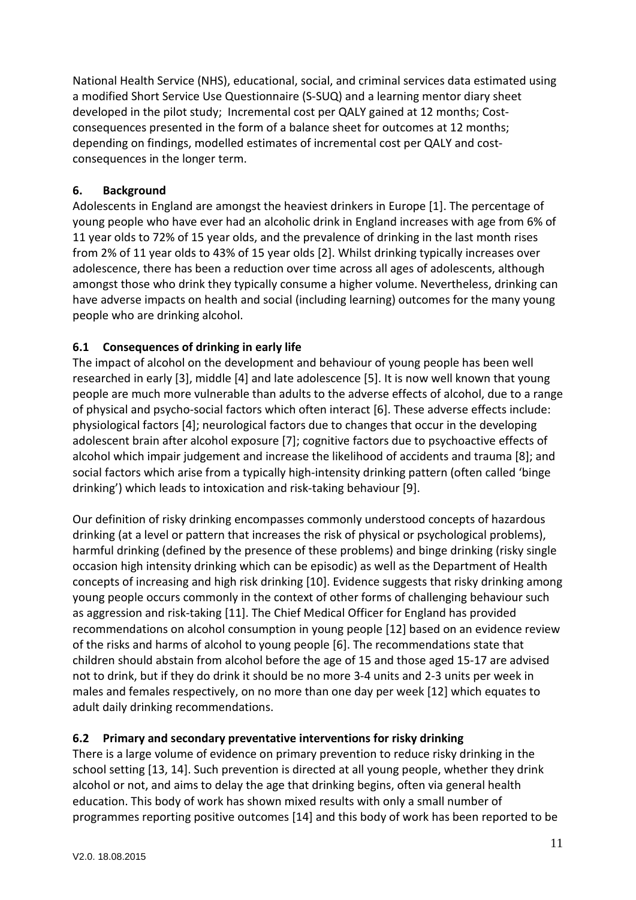National Health Service (NHS), educational, social, and criminal services data estimated using a modified Short Service Use Questionnaire (S-SUQ) and a learning mentor diary sheet developed in the pilot study; Incremental cost per QALY gained at 12 months; Costconsequences presented in the form of a balance sheet for outcomes at 12 months; depending on findings, modelled estimates of incremental cost per QALY and costconsequences in the longer term.

# **6. Background**

Adolescents in England are amongst the heaviest drinkers in Europe [1]. The percentage of young people who have ever had an alcoholic drink in England increases with age from 6% of 11 year olds to 72% of 15 year olds, and the prevalence of drinking in the last month rises from 2% of 11 year olds to 43% of 15 year olds [2]. Whilst drinking typically increases over adolescence, there has been a reduction over time across all ages of adolescents, although amongst those who drink they typically consume a higher volume. Nevertheless, drinking can have adverse impacts on health and social (including learning) outcomes for the many young people who are drinking alcohol.

# **6.1 Consequences of drinking in early life**

The impact of alcohol on the development and behaviour of young people has been well researched in early [3], middle [4] and late adolescence [5]. It is now well known that young people are much more vulnerable than adults to the adverse effects of alcohol, due to a range of physical and psycho-social factors which often interact [6]. These adverse effects include: physiological factors [4]; neurological factors due to changes that occur in the developing adolescent brain after alcohol exposure [7]; cognitive factors due to psychoactive effects of alcohol which impair judgement and increase the likelihood of accidents and trauma [8]; and social factors which arise from a typically high-intensity drinking pattern (often called 'binge drinking') which leads to intoxication and risk-taking behaviour [9].

Our definition of risky drinking encompasses commonly understood concepts of hazardous drinking (at a level or pattern that increases the risk of physical or psychological problems), harmful drinking (defined by the presence of these problems) and binge drinking (risky single occasion high intensity drinking which can be episodic) as well as the Department of Health concepts of increasing and high risk drinking [10]. Evidence suggests that risky drinking among young people occurs commonly in the context of other forms of challenging behaviour such as aggression and risk-taking [11]. The Chief Medical Officer for England has provided recommendations on alcohol consumption in young people [12] based on an evidence review of the risks and harms of alcohol to young people [6]. The recommendations state that children should abstain from alcohol before the age of 15 and those aged 15-17 are advised not to drink, but if they do drink it should be no more 3-4 units and 2-3 units per week in males and females respectively, on no more than one day per week [12] which equates to adult daily drinking recommendations.

# **6.2 Primary and secondary preventative interventions for risky drinking**

There is a large volume of evidence on primary prevention to reduce risky drinking in the school setting [13, 14]. Such prevention is directed at all young people, whether they drink alcohol or not, and aims to delay the age that drinking begins, often via general health education. This body of work has shown mixed results with only a small number of programmes reporting positive outcomes [14] and this body of work has been reported to be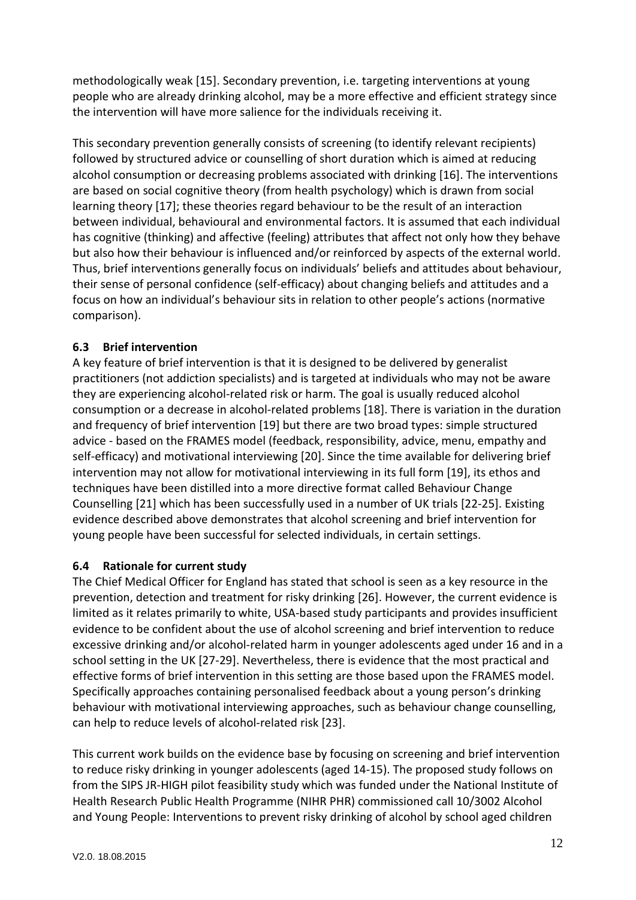methodologically weak [15]. Secondary prevention, i.e. targeting interventions at young people who are already drinking alcohol, may be a more effective and efficient strategy since the intervention will have more salience for the individuals receiving it.

This secondary prevention generally consists of screening (to identify relevant recipients) followed by structured advice or counselling of short duration which is aimed at reducing alcohol consumption or decreasing problems associated with drinking [16]. The interventions are based on social cognitive theory (from health psychology) which is drawn from social learning theory [17]; these theories regard behaviour to be the result of an interaction between individual, behavioural and environmental factors. It is assumed that each individual has cognitive (thinking) and affective (feeling) attributes that affect not only how they behave but also how their behaviour is influenced and/or reinforced by aspects of the external world. Thus, brief interventions generally focus on individuals' beliefs and attitudes about behaviour, their sense of personal confidence (self-efficacy) about changing beliefs and attitudes and a focus on how an individual's behaviour sits in relation to other people's actions (normative comparison).

# **6.3 Brief intervention**

A key feature of brief intervention is that it is designed to be delivered by generalist practitioners (not addiction specialists) and is targeted at individuals who may not be aware they are experiencing alcohol-related risk or harm. The goal is usually reduced alcohol consumption or a decrease in alcohol-related problems [18]. There is variation in the duration and frequency of brief intervention [19] but there are two broad types: simple structured advice - based on the FRAMES model (feedback, responsibility, advice, menu, empathy and self-efficacy) and motivational interviewing [20]. Since the time available for delivering brief intervention may not allow for motivational interviewing in its full form [19], its ethos and techniques have been distilled into a more directive format called Behaviour Change Counselling [21] which has been successfully used in a number of UK trials [22-25]. Existing evidence described above demonstrates that alcohol screening and brief intervention for young people have been successful for selected individuals, in certain settings.

# **6.4 Rationale for current study**

The Chief Medical Officer for England has stated that school is seen as a key resource in the prevention, detection and treatment for risky drinking [26]. However, the current evidence is limited as it relates primarily to white, USA-based study participants and provides insufficient evidence to be confident about the use of alcohol screening and brief intervention to reduce excessive drinking and/or alcohol-related harm in younger adolescents aged under 16 and in a school setting in the UK [27-29]. Nevertheless, there is evidence that the most practical and effective forms of brief intervention in this setting are those based upon the FRAMES model. Specifically approaches containing personalised feedback about a young person's drinking behaviour with motivational interviewing approaches, such as behaviour change counselling, can help to reduce levels of alcohol-related risk [23].

This current work builds on the evidence base by focusing on screening and brief intervention to reduce risky drinking in younger adolescents (aged 14-15). The proposed study follows on from the SIPS JR-HIGH pilot feasibility study which was funded under the National Institute of Health Research Public Health Programme (NIHR PHR) commissioned call 10/3002 Alcohol and Young People: Interventions to prevent risky drinking of alcohol by school aged children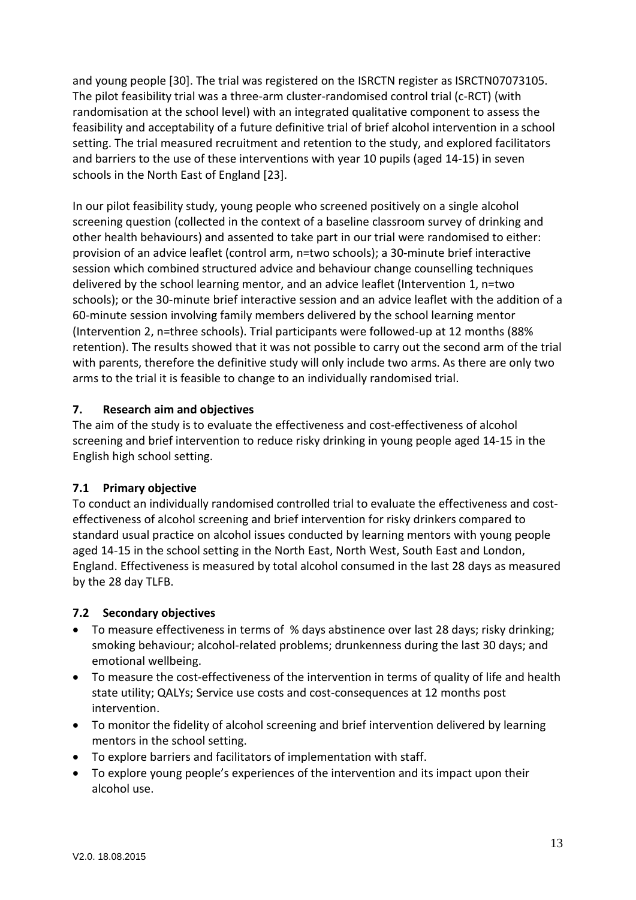and young people [30]. The trial was registered on the ISRCTN register as ISRCTN07073105. The pilot feasibility trial was a three-arm cluster-randomised control trial (c-RCT) (with randomisation at the school level) with an integrated qualitative component to assess the feasibility and acceptability of a future definitive trial of brief alcohol intervention in a school setting. The trial measured recruitment and retention to the study, and explored facilitators and barriers to the use of these interventions with year 10 pupils (aged 14-15) in seven schools in the North East of England [23].

In our pilot feasibility study, young people who screened positively on a single alcohol screening question (collected in the context of a baseline classroom survey of drinking and other health behaviours) and assented to take part in our trial were randomised to either: provision of an advice leaflet (control arm, n=two schools); a 30-minute brief interactive session which combined structured advice and behaviour change counselling techniques delivered by the school learning mentor, and an advice leaflet (Intervention 1, n=two schools); or the 30-minute brief interactive session and an advice leaflet with the addition of a 60-minute session involving family members delivered by the school learning mentor (Intervention 2, n=three schools). Trial participants were followed-up at 12 months (88% retention). The results showed that it was not possible to carry out the second arm of the trial with parents, therefore the definitive study will only include two arms. As there are only two arms to the trial it is feasible to change to an individually randomised trial.

# **7. Research aim and objectives**

The aim of the study is to evaluate the effectiveness and cost-effectiveness of alcohol screening and brief intervention to reduce risky drinking in young people aged 14-15 in the English high school setting.

### **7.1 Primary objective**

To conduct an individually randomised controlled trial to evaluate the effectiveness and costeffectiveness of alcohol screening and brief intervention for risky drinkers compared to standard usual practice on alcohol issues conducted by learning mentors with young people aged 14-15 in the school setting in the North East, North West, South East and London, England. Effectiveness is measured by total alcohol consumed in the last 28 days as measured by the 28 day TLFB.

### **7.2 Secondary objectives**

- To measure effectiveness in terms of % days abstinence over last 28 days; risky drinking; smoking behaviour; alcohol-related problems; drunkenness during the last 30 days; and emotional wellbeing.
- To measure the cost-effectiveness of the intervention in terms of quality of life and health state utility; QALYs; Service use costs and cost-consequences at 12 months post intervention.
- To monitor the fidelity of alcohol screening and brief intervention delivered by learning mentors in the school setting.
- To explore barriers and facilitators of implementation with staff.
- To explore young people's experiences of the intervention and its impact upon their alcohol use.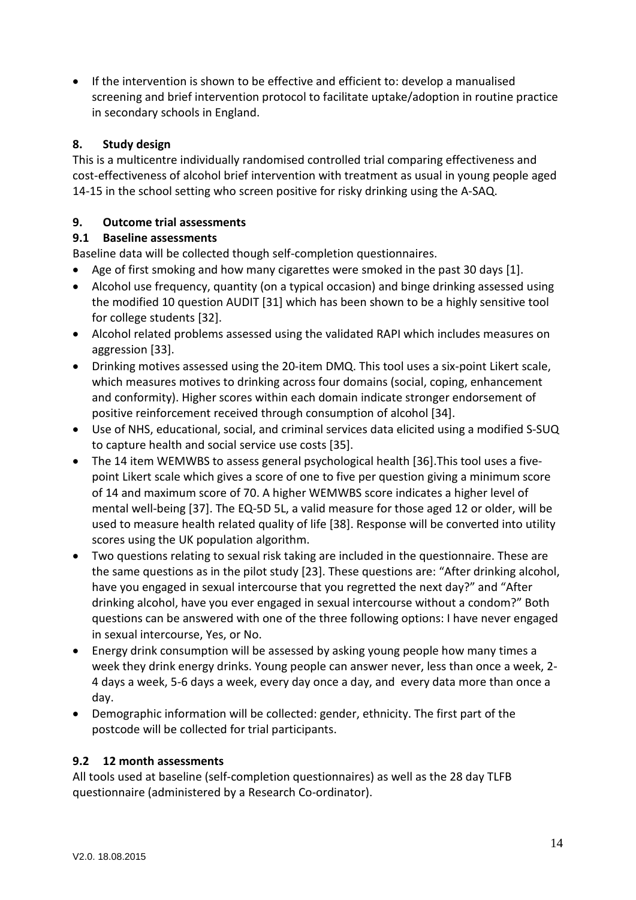• If the intervention is shown to be effective and efficient to: develop a manualised screening and brief intervention protocol to facilitate uptake/adoption in routine practice in secondary schools in England.

# **8. Study design**

This is a multicentre individually randomised controlled trial comparing effectiveness and cost-effectiveness of alcohol brief intervention with treatment as usual in young people aged 14-15 in the school setting who screen positive for risky drinking using the A-SAQ.

# **9. Outcome trial assessments**

# **9.1 Baseline assessments**

Baseline data will be collected though self-completion questionnaires.

- Age of first smoking and how many cigarettes were smoked in the past 30 days [1].
- Alcohol use frequency, quantity (on a typical occasion) and binge drinking assessed using the modified 10 question AUDIT [31] which has been shown to be a highly sensitive tool for college students [32].
- Alcohol related problems assessed using the validated RAPI which includes measures on aggression [33].
- Drinking motives assessed using the 20-item DMQ. This tool uses a six-point Likert scale, which measures motives to drinking across four domains (social, coping, enhancement and conformity). Higher scores within each domain indicate stronger endorsement of positive reinforcement received through consumption of alcohol [34].
- Use of NHS, educational, social, and criminal services data elicited using a modified S-SUQ to capture health and social service use costs [35].
- The 14 item WEMWBS to assess general psychological health [36].This tool uses a fivepoint Likert scale which gives a score of one to five per question giving a minimum score of 14 and maximum score of 70. A higher WEMWBS score indicates a higher level of mental well-being [37]. The EQ-5D 5L, a valid measure for those aged 12 or older, will be used to measure health related quality of life [38]. Response will be converted into utility scores using the UK population algorithm.
- Two questions relating to sexual risk taking are included in the questionnaire. These are the same questions as in the pilot study [23]. These questions are: "After drinking alcohol, have you engaged in sexual intercourse that you regretted the next day?" and "After drinking alcohol, have you ever engaged in sexual intercourse without a condom?" Both questions can be answered with one of the three following options: I have never engaged in sexual intercourse, Yes, or No.
- Energy drink consumption will be assessed by asking young people how many times a week they drink energy drinks. Young people can answer never, less than once a week, 2- 4 days a week, 5-6 days a week, every day once a day, and every data more than once a day.
- Demographic information will be collected: gender, ethnicity. The first part of the postcode will be collected for trial participants.

### **9.2 12 month assessments**

All tools used at baseline (self-completion questionnaires) as well as the 28 day TLFB questionnaire (administered by a Research Co-ordinator).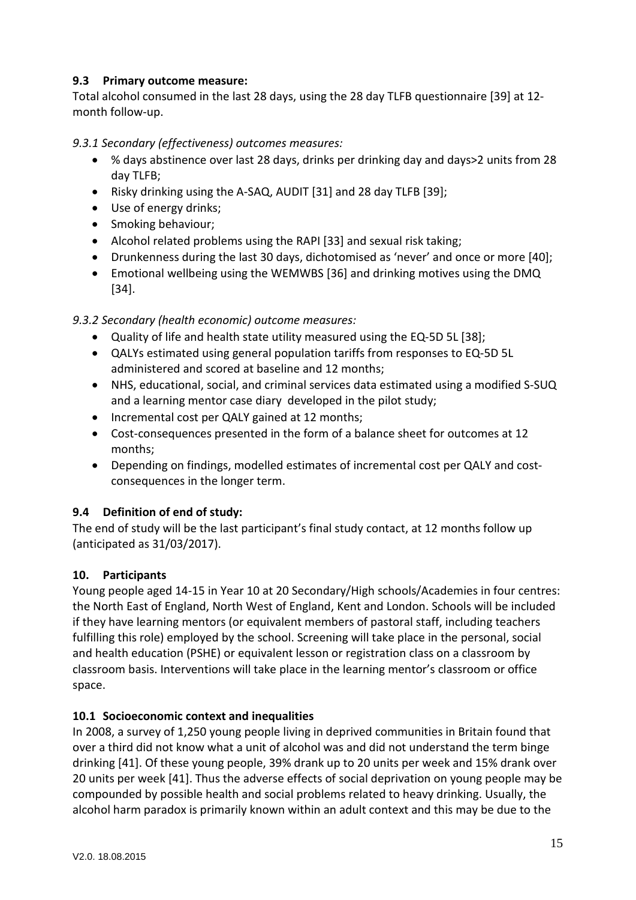### **9.3 Primary outcome measure:**

Total alcohol consumed in the last 28 days, using the 28 day TLFB questionnaire [39] at 12 month follow-up.

# *9.3.1 Secondary (effectiveness) outcomes measures:*

- % days abstinence over last 28 days, drinks per drinking day and days>2 units from 28 day TLFB;
- Risky drinking using the A-SAQ, AUDIT [31] and 28 day TLFB [39];
- Use of energy drinks;
- Smoking behaviour;
- Alcohol related problems using the RAPI [33] and sexual risk taking;
- Drunkenness during the last 30 days, dichotomised as 'never' and once or more [40];
- Emotional wellbeing using the WEMWBS [36] and drinking motives using the DMQ [34].

# *9.3.2 Secondary (health economic) outcome measures:*

- Quality of life and health state utility measured using the EQ-5D 5L [38];
- QALYs estimated using general population tariffs from responses to EQ-5D 5L administered and scored at baseline and 12 months;
- NHS, educational, social, and criminal services data estimated using a modified S-SUQ and a learning mentor case diary developed in the pilot study;
- Incremental cost per QALY gained at 12 months;
- Cost-consequences presented in the form of a balance sheet for outcomes at 12 months;
- Depending on findings, modelled estimates of incremental cost per QALY and costconsequences in the longer term.

# **9.4 Definition of end of study:**

The end of study will be the last participant's final study contact, at 12 months follow up (anticipated as 31/03/2017).

### **10. Participants**

Young people aged 14-15 in Year 10 at 20 Secondary/High schools/Academies in four centres: the North East of England, North West of England, Kent and London. Schools will be included if they have learning mentors (or equivalent members of pastoral staff, including teachers fulfilling this role) employed by the school. Screening will take place in the personal, social and health education (PSHE) or equivalent lesson or registration class on a classroom by classroom basis. Interventions will take place in the learning mentor's classroom or office space.

### **10.1 Socioeconomic context and inequalities**

In 2008, a survey of 1,250 young people living in deprived communities in Britain found that over a third did not know what a unit of alcohol was and did not understand the term binge drinking [41]. Of these young people, 39% drank up to 20 units per week and 15% drank over 20 units per week [41]. Thus the adverse effects of social deprivation on young people may be compounded by possible health and social problems related to heavy drinking. Usually, the alcohol harm paradox is primarily known within an adult context and this may be due to the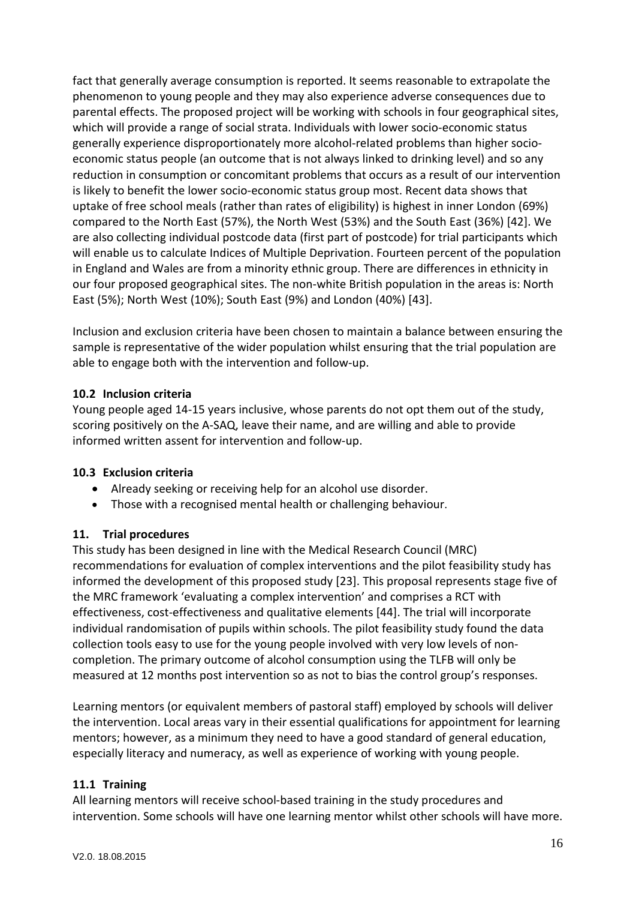fact that generally average consumption is reported. It seems reasonable to extrapolate the phenomenon to young people and they may also experience adverse consequences due to parental effects. The proposed project will be working with schools in four geographical sites, which will provide a range of social strata. Individuals with lower socio-economic status generally experience disproportionately more alcohol-related problems than higher socioeconomic status people (an outcome that is not always linked to drinking level) and so any reduction in consumption or concomitant problems that occurs as a result of our intervention is likely to benefit the lower socio-economic status group most. Recent data shows that uptake of free school meals (rather than rates of eligibility) is highest in inner London (69%) compared to the North East (57%), the North West (53%) and the South East (36%) [42]. We are also collecting individual postcode data (first part of postcode) for trial participants which will enable us to calculate Indices of Multiple Deprivation. Fourteen percent of the population in England and Wales are from a minority ethnic group. There are differences in ethnicity in our four proposed geographical sites. The non-white British population in the areas is: North East (5%); North West (10%); South East (9%) and London (40%) [43].

Inclusion and exclusion criteria have been chosen to maintain a balance between ensuring the sample is representative of the wider population whilst ensuring that the trial population are able to engage both with the intervention and follow-up.

# **10.2 Inclusion criteria**

Young people aged 14-15 years inclusive, whose parents do not opt them out of the study, scoring positively on the A-SAQ, leave their name, and are willing and able to provide informed written assent for intervention and follow-up.

### **10.3 Exclusion criteria**

- Already seeking or receiving help for an alcohol use disorder.
- Those with a recognised mental health or challenging behaviour.

### **11. Trial procedures**

This study has been designed in line with the Medical Research Council (MRC) recommendations for evaluation of complex interventions and the pilot feasibility study has informed the development of this proposed study [23]. This proposal represents stage five of the MRC framework 'evaluating a complex intervention' and comprises a RCT with effectiveness, cost-effectiveness and qualitative elements [44]. The trial will incorporate individual randomisation of pupils within schools. The pilot feasibility study found the data collection tools easy to use for the young people involved with very low levels of noncompletion. The primary outcome of alcohol consumption using the TLFB will only be measured at 12 months post intervention so as not to bias the control group's responses.

Learning mentors (or equivalent members of pastoral staff) employed by schools will deliver the intervention. Local areas vary in their essential qualifications for appointment for learning mentors; however, as a minimum they need to have a good standard of general education, especially literacy and numeracy, as well as experience of working with young people.

### **11.1 Training**

All learning mentors will receive school-based training in the study procedures and intervention. Some schools will have one learning mentor whilst other schools will have more.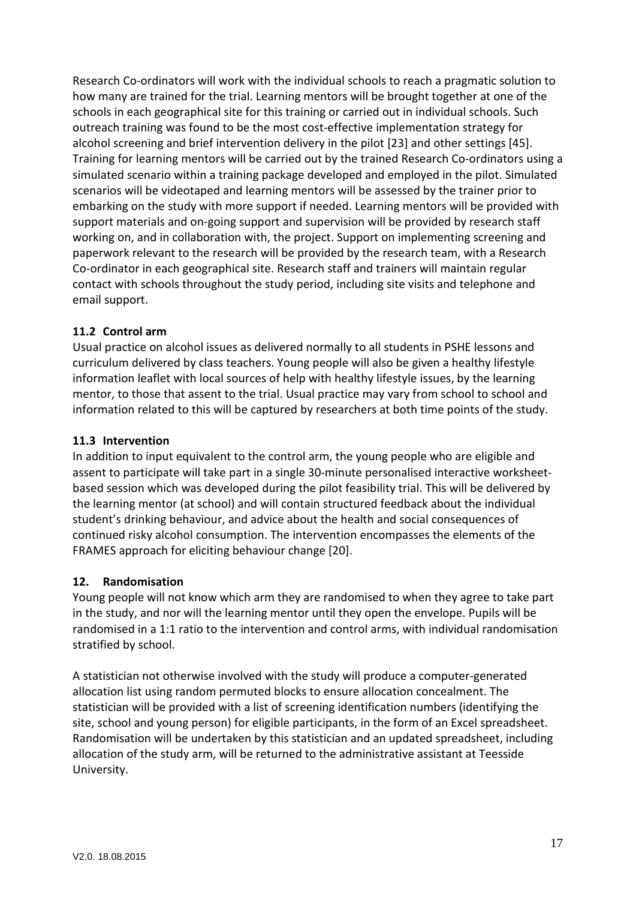Research Co-ordinators will work with the individual schools to reach a pragmatic solution to how many are trained for the trial. Learning mentors will be brought together at one of the schools in each geographical site for this training or carried out in individual schools. Such outreach training was found to be the most cost-effective implementation strategy for alcohol screening and brief intervention delivery in the pilot [23] and other settings [45]. Training for learning mentors will be carried out by the trained Research Co-ordinators using a simulated scenario within a training package developed and employed in the pilot. Simulated scenarios will be videotaped and learning mentors will be assessed by the trainer prior to embarking on the study with more support if needed. Learning mentors will be provided with support materials and on-going support and supervision will be provided by research staff working on, and in collaboration with, the project. Support on implementing screening and paperwork relevant to the research will be provided by the research team, with a Research Co-ordinator in each geographical site. Research staff and trainers will maintain regular contact with schools throughout the study period, including site visits and telephone and email support.

### **11.2 Control arm**

Usual practice on alcohol issues as delivered normally to all students in PSHE lessons and curriculum delivered by class teachers. Young people will also be given a healthy lifestyle information leaflet with local sources of help with healthy lifestyle issues, by the learning mentor, to those that assent to the trial. Usual practice may vary from school to school and information related to this will be captured by researchers at both time points of the study.

### **11.3 Intervention**

In addition to input equivalent to the control arm, the young people who are eligible and assent to participate will take part in a single 30-minute personalised interactive worksheetbased session which was developed during the pilot feasibility trial. This will be delivered by the learning mentor (at school) and will contain structured feedback about the individual student's drinking behaviour, and advice about the health and social consequences of continued risky alcohol consumption. The intervention encompasses the elements of the FRAMES approach for eliciting behaviour change [20].

# **12. Randomisation**

Young people will not know which arm they are randomised to when they agree to take part in the study, and nor will the learning mentor until they open the envelope. Pupils will be randomised in a 1:1 ratio to the intervention and control arms, with individual randomisation stratified by school.

A statistician not otherwise involved with the study will produce a computer-generated allocation list using random permuted blocks to ensure allocation concealment. The statistician will be provided with a list of screening identification numbers (identifying the site, school and young person) for eligible participants, in the form of an Excel spreadsheet. Randomisation will be undertaken by this statistician and an updated spreadsheet, including allocation of the study arm, will be returned to the administrative assistant at Teesside University.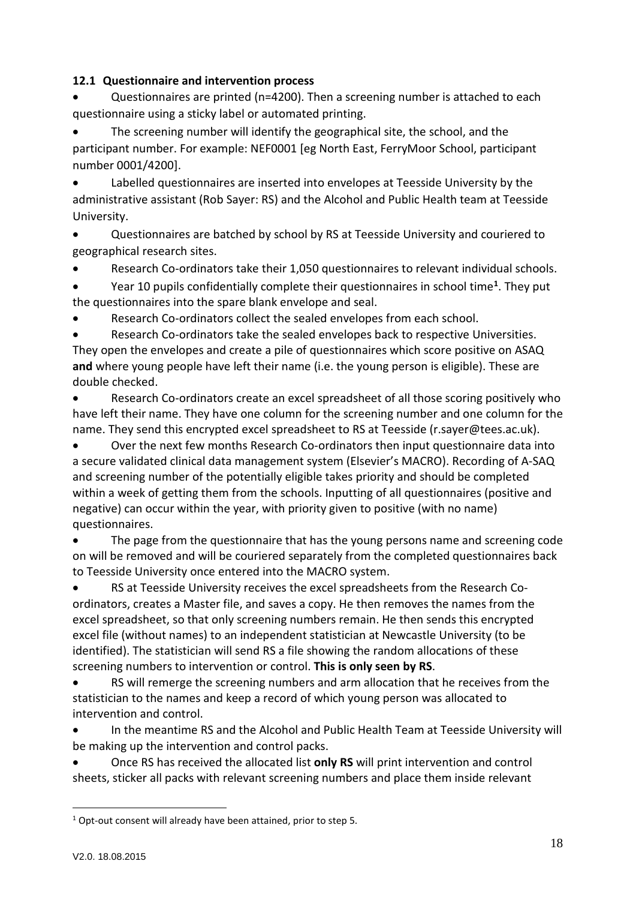# **12.1 Questionnaire and intervention process**

• Questionnaires are printed (n=4200). Then a screening number is attached to each questionnaire using a sticky label or automated printing.

The screening number will identify the geographical site, the school, and the participant number. For example: NEF0001 [eg North East, FerryMoor School, participant number 0001/4200].

• Labelled questionnaires are inserted into envelopes at Teesside University by the administrative assistant (Rob Sayer: RS) and the Alcohol and Public Health team at Teesside University.

• Questionnaires are batched by school by RS at Teesside University and couriered to geographical research sites.

• Research Co-ordinators take their 1,050 questionnaires to relevant individual schools.

• Year 10 pupils confidentially complete their questionnaires in school time**[1](#page-18-0)**. They put the questionnaires into the spare blank envelope and seal.

Research Co-ordinators collect the sealed envelopes from each school.

• Research Co-ordinators take the sealed envelopes back to respective Universities. They open the envelopes and create a pile of questionnaires which score positive on ASAQ **and** where young people have left their name (i.e. the young person is eligible). These are double checked.

• Research Co-ordinators create an excel spreadsheet of all those scoring positively who have left their name. They have one column for the screening number and one column for the name. They send this encrypted excel spreadsheet to RS at Teesside (r.sayer@tees.ac.uk).

• Over the next few months Research Co-ordinators then input questionnaire data into a secure validated clinical data management system (Elsevier's MACRO). Recording of A-SAQ and screening number of the potentially eligible takes priority and should be completed within a week of getting them from the schools. Inputting of all questionnaires (positive and negative) can occur within the year, with priority given to positive (with no name) questionnaires.

• The page from the questionnaire that has the young persons name and screening code on will be removed and will be couriered separately from the completed questionnaires back to Teesside University once entered into the MACRO system.

• RS at Teesside University receives the excel spreadsheets from the Research Coordinators, creates a Master file, and saves a copy. He then removes the names from the excel spreadsheet, so that only screening numbers remain. He then sends this encrypted excel file (without names) to an independent statistician at Newcastle University (to be identified). The statistician will send RS a file showing the random allocations of these screening numbers to intervention or control. **This is only seen by RS**.

RS will remerge the screening numbers and arm allocation that he receives from the statistician to the names and keep a record of which young person was allocated to intervention and control.

• In the meantime RS and the Alcohol and Public Health Team at Teesside University will be making up the intervention and control packs.

• Once RS has received the allocated list **only RS** will print intervention and control sheets, sticker all packs with relevant screening numbers and place them inside relevant

 $\overline{a}$ 

<span id="page-18-0"></span><sup>1</sup> Opt-out consent will already have been attained, prior to step 5.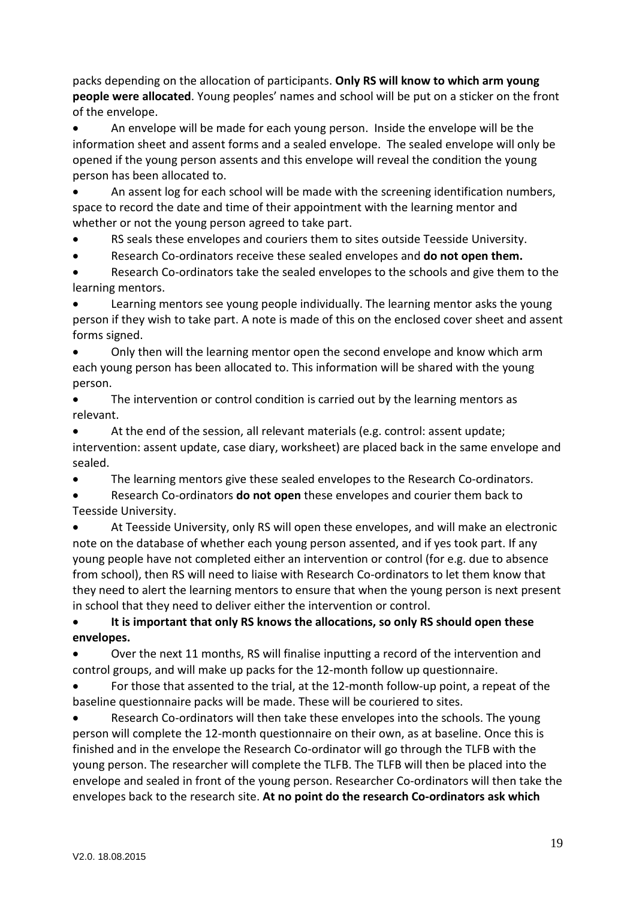packs depending on the allocation of participants. **Only RS will know to which arm young people were allocated**. Young peoples' names and school will be put on a sticker on the front of the envelope.

• An envelope will be made for each young person. Inside the envelope will be the information sheet and assent forms and a sealed envelope. The sealed envelope will only be opened if the young person assents and this envelope will reveal the condition the young person has been allocated to.

• An assent log for each school will be made with the screening identification numbers, space to record the date and time of their appointment with the learning mentor and whether or not the young person agreed to take part.

RS seals these envelopes and couriers them to sites outside Teesside University.

• Research Co-ordinators receive these sealed envelopes and **do not open them.**

• Research Co-ordinators take the sealed envelopes to the schools and give them to the learning mentors.

Learning mentors see young people individually. The learning mentor asks the young person if they wish to take part. A note is made of this on the enclosed cover sheet and assent forms signed.

• Only then will the learning mentor open the second envelope and know which arm each young person has been allocated to. This information will be shared with the young person.

The intervention or control condition is carried out by the learning mentors as relevant.

• At the end of the session, all relevant materials (e.g. control: assent update; intervention: assent update, case diary, worksheet) are placed back in the same envelope and sealed.

• The learning mentors give these sealed envelopes to the Research Co-ordinators.

• Research Co-ordinators **do not open** these envelopes and courier them back to Teesside University.

• At Teesside University, only RS will open these envelopes, and will make an electronic note on the database of whether each young person assented, and if yes took part. If any young people have not completed either an intervention or control (for e.g. due to absence from school), then RS will need to liaise with Research Co-ordinators to let them know that they need to alert the learning mentors to ensure that when the young person is next present in school that they need to deliver either the intervention or control.

• **It is important that only RS knows the allocations, so only RS should open these envelopes.**

• Over the next 11 months, RS will finalise inputting a record of the intervention and control groups, and will make up packs for the 12-month follow up questionnaire.

• For those that assented to the trial, at the 12-month follow-up point, a repeat of the baseline questionnaire packs will be made. These will be couriered to sites.

Research Co-ordinators will then take these envelopes into the schools. The young person will complete the 12-month questionnaire on their own, as at baseline. Once this is finished and in the envelope the Research Co-ordinator will go through the TLFB with the young person. The researcher will complete the TLFB. The TLFB will then be placed into the envelope and sealed in front of the young person. Researcher Co-ordinators will then take the envelopes back to the research site. **At no point do the research Co-ordinators ask which**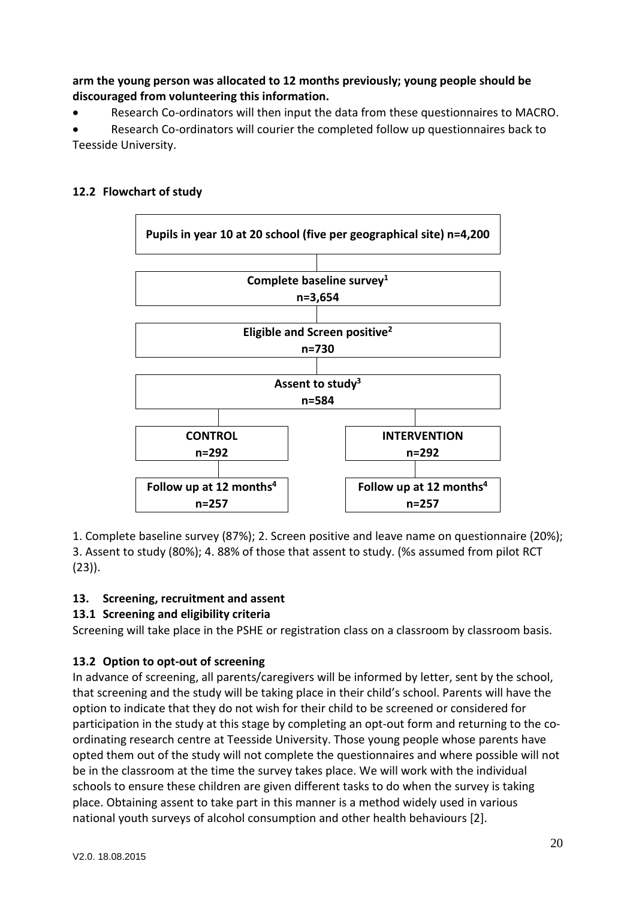**arm the young person was allocated to 12 months previously; young people should be discouraged from volunteering this information.**

• Research Co-ordinators will then input the data from these questionnaires to MACRO.

• Research Co-ordinators will courier the completed follow up questionnaires back to Teesside University.

# **12.2 Flowchart of study**



1. Complete baseline survey (87%); 2. Screen positive and leave name on questionnaire (20%); 3. Assent to study (80%); 4. 88% of those that assent to study. (%s assumed from pilot RCT (23)).

# **13. Screening, recruitment and assent**

# **13.1 Screening and eligibility criteria**

Screening will take place in the PSHE or registration class on a classroom by classroom basis.

# **13.2 Option to opt-out of screening**

In advance of screening, all parents/caregivers will be informed by letter, sent by the school, that screening and the study will be taking place in their child's school. Parents will have the option to indicate that they do not wish for their child to be screened or considered for participation in the study at this stage by completing an opt-out form and returning to the coordinating research centre at Teesside University. Those young people whose parents have opted them out of the study will not complete the questionnaires and where possible will not be in the classroom at the time the survey takes place. We will work with the individual schools to ensure these children are given different tasks to do when the survey is taking place. Obtaining assent to take part in this manner is a method widely used in various national youth surveys of alcohol consumption and other health behaviours [2].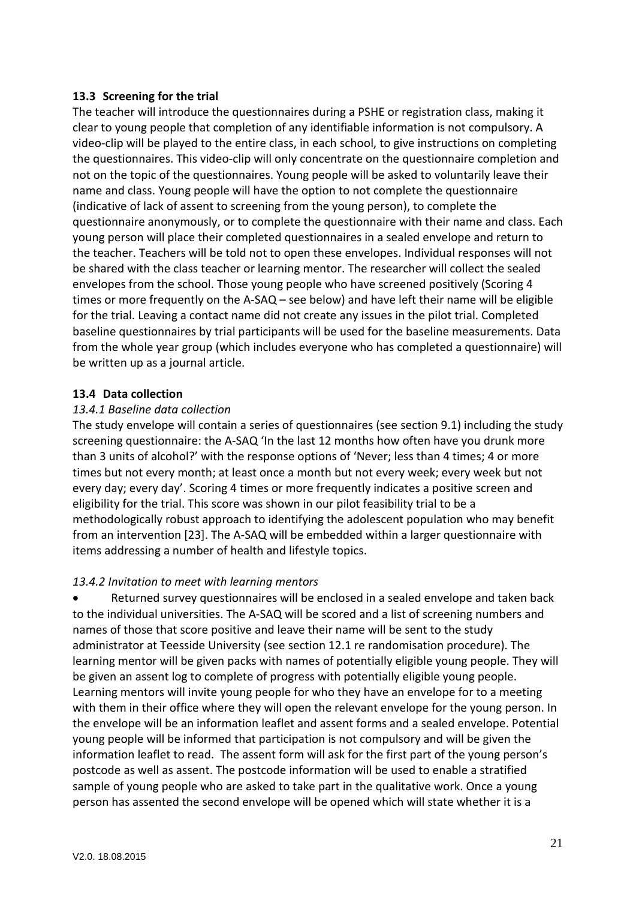#### **13.3 Screening for the trial**

The teacher will introduce the questionnaires during a PSHE or registration class, making it clear to young people that completion of any identifiable information is not compulsory. A video-clip will be played to the entire class, in each school, to give instructions on completing the questionnaires. This video-clip will only concentrate on the questionnaire completion and not on the topic of the questionnaires. Young people will be asked to voluntarily leave their name and class. Young people will have the option to not complete the questionnaire (indicative of lack of assent to screening from the young person), to complete the questionnaire anonymously, or to complete the questionnaire with their name and class. Each young person will place their completed questionnaires in a sealed envelope and return to the teacher. Teachers will be told not to open these envelopes. Individual responses will not be shared with the class teacher or learning mentor. The researcher will collect the sealed envelopes from the school. Those young people who have screened positively (Scoring 4 times or more frequently on the A-SAQ – see below) and have left their name will be eligible for the trial. Leaving a contact name did not create any issues in the pilot trial. Completed baseline questionnaires by trial participants will be used for the baseline measurements. Data from the whole year group (which includes everyone who has completed a questionnaire) will be written up as a journal article.

#### **13.4 Data collection**

#### *13.4.1 Baseline data collection*

The study envelope will contain a series of questionnaires (see section 9.1) including the study screening questionnaire: the A-SAQ 'In the last 12 months how often have you drunk more than 3 units of alcohol?' with the response options of 'Never; less than 4 times; 4 or more times but not every month; at least once a month but not every week; every week but not every day; every day'. Scoring 4 times or more frequently indicates a positive screen and eligibility for the trial. This score was shown in our pilot feasibility trial to be a methodologically robust approach to identifying the adolescent population who may benefit from an intervention [23]. The A-SAQ will be embedded within a larger questionnaire with items addressing a number of health and lifestyle topics.

### *13.4.2 Invitation to meet with learning mentors*

• Returned survey questionnaires will be enclosed in a sealed envelope and taken back to the individual universities. The A-SAQ will be scored and a list of screening numbers and names of those that score positive and leave their name will be sent to the study administrator at Teesside University (see section 12.1 re randomisation procedure). The learning mentor will be given packs with names of potentially eligible young people. They will be given an assent log to complete of progress with potentially eligible young people. Learning mentors will invite young people for who they have an envelope for to a meeting with them in their office where they will open the relevant envelope for the young person. In the envelope will be an information leaflet and assent forms and a sealed envelope. Potential young people will be informed that participation is not compulsory and will be given the information leaflet to read. The assent form will ask for the first part of the young person's postcode as well as assent. The postcode information will be used to enable a stratified sample of young people who are asked to take part in the qualitative work. Once a young person has assented the second envelope will be opened which will state whether it is a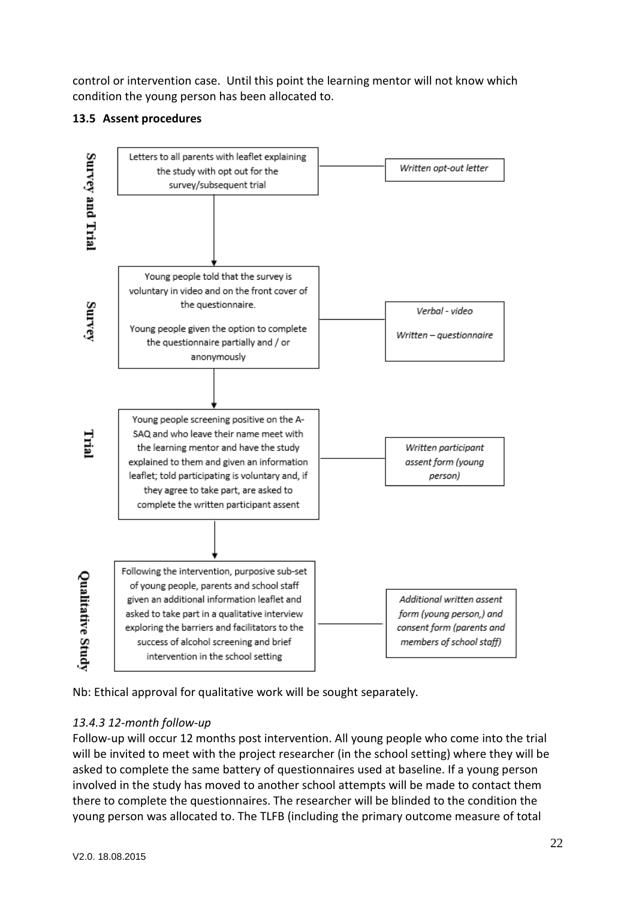control or intervention case. Until this point the learning mentor will not know which condition the young person has been allocated to.

## **13.5 Assent procedures**



Nb: Ethical approval for qualitative work will be sought separately.

# *13.4.3 12-month follow-up*

Follow-up will occur 12 months post intervention. All young people who come into the trial will be invited to meet with the project researcher (in the school setting) where they will be asked to complete the same battery of questionnaires used at baseline. If a young person involved in the study has moved to another school attempts will be made to contact them there to complete the questionnaires. The researcher will be blinded to the condition the young person was allocated to. The TLFB (including the primary outcome measure of total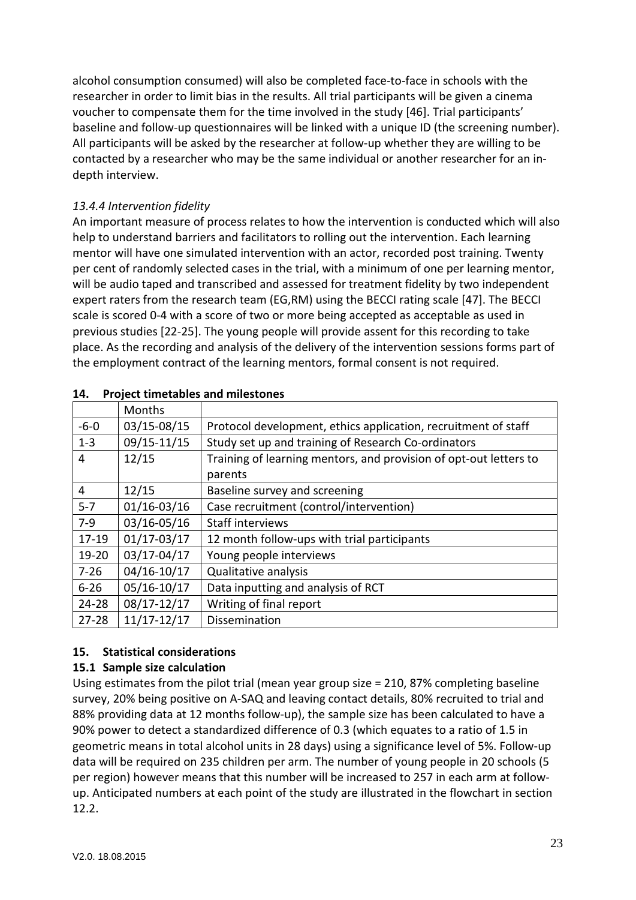alcohol consumption consumed) will also be completed face-to-face in schools with the researcher in order to limit bias in the results. All trial participants will be given a cinema voucher to compensate them for the time involved in the study [46]. Trial participants' baseline and follow-up questionnaires will be linked with a unique ID (the screening number). All participants will be asked by the researcher at follow-up whether they are willing to be contacted by a researcher who may be the same individual or another researcher for an indepth interview.

# *13.4.4 Intervention fidelity*

An important measure of process relates to how the intervention is conducted which will also help to understand barriers and facilitators to rolling out the intervention. Each learning mentor will have one simulated intervention with an actor, recorded post training. Twenty per cent of randomly selected cases in the trial, with a minimum of one per learning mentor, will be audio taped and transcribed and assessed for treatment fidelity by two independent expert raters from the research team (EG,RM) using the BECCI rating scale [47]. The BECCI scale is scored 0-4 with a score of two or more being accepted as acceptable as used in previous studies [22-25]. The young people will provide assent for this recording to take place. As the recording and analysis of the delivery of the intervention sessions forms part of the employment contract of the learning mentors, formal consent is not required.

|                | Months          |                                                                   |  |
|----------------|-----------------|-------------------------------------------------------------------|--|
| $-6 - 0$       | 03/15-08/15     | Protocol development, ethics application, recruitment of staff    |  |
| $1 - 3$        | 09/15-11/15     | Study set up and training of Research Co-ordinators               |  |
| 4              | 12/15           | Training of learning mentors, and provision of opt-out letters to |  |
|                |                 | parents                                                           |  |
| $\overline{4}$ | 12/15           | Baseline survey and screening                                     |  |
| $5 - 7$        | $01/16 - 03/16$ | Case recruitment (control/intervention)                           |  |
| $7-9$          | 03/16-05/16     | <b>Staff interviews</b>                                           |  |
| $17 - 19$      | $01/17 - 03/17$ | 12 month follow-ups with trial participants                       |  |
| $19 - 20$      | 03/17-04/17     | Young people interviews                                           |  |
| $7 - 26$       | 04/16-10/17     | Qualitative analysis                                              |  |
| $6 - 26$       | 05/16-10/17     | Data inputting and analysis of RCT                                |  |
| $24 - 28$      | 08/17-12/17     | Writing of final report                                           |  |
| $27 - 28$      | $11/17 - 12/17$ | Dissemination                                                     |  |

#### **14. Project timetables and milestones**

### **15. Statistical considerations**

### **15.1 Sample size calculation**

Using estimates from the pilot trial (mean year group size = 210, 87% completing baseline survey, 20% being positive on A-SAQ and leaving contact details, 80% recruited to trial and 88% providing data at 12 months follow-up), the sample size has been calculated to have a 90% power to detect a standardized difference of 0.3 (which equates to a ratio of 1.5 in geometric means in total alcohol units in 28 days) using a significance level of 5%. Follow-up data will be required on 235 children per arm. The number of young people in 20 schools (5 per region) however means that this number will be increased to 257 in each arm at followup. Anticipated numbers at each point of the study are illustrated in the flowchart in section 12.2.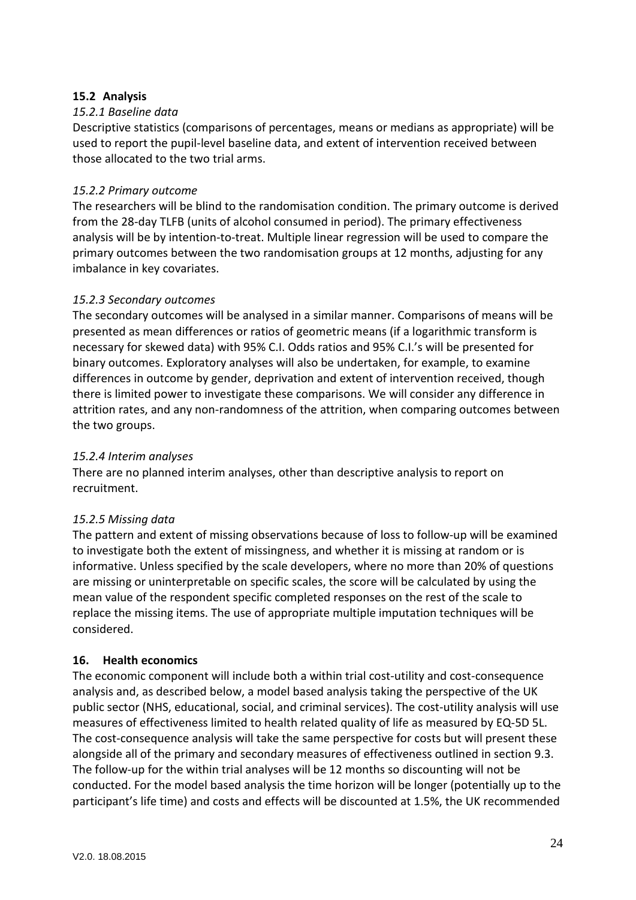### **15.2 Analysis**

### *15.2.1 Baseline data*

Descriptive statistics (comparisons of percentages, means or medians as appropriate) will be used to report the pupil-level baseline data, and extent of intervention received between those allocated to the two trial arms.

#### *15.2.2 Primary outcome*

The researchers will be blind to the randomisation condition. The primary outcome is derived from the 28-day TLFB (units of alcohol consumed in period). The primary effectiveness analysis will be by intention-to-treat. Multiple linear regression will be used to compare the primary outcomes between the two randomisation groups at 12 months, adjusting for any imbalance in key covariates.

#### *15.2.3 Secondary outcomes*

The secondary outcomes will be analysed in a similar manner. Comparisons of means will be presented as mean differences or ratios of geometric means (if a logarithmic transform is necessary for skewed data) with 95% C.I. Odds ratios and 95% C.I.'s will be presented for binary outcomes. Exploratory analyses will also be undertaken, for example, to examine differences in outcome by gender, deprivation and extent of intervention received, though there is limited power to investigate these comparisons. We will consider any difference in attrition rates, and any non-randomness of the attrition, when comparing outcomes between the two groups.

#### *15.2.4 Interim analyses*

There are no planned interim analyses, other than descriptive analysis to report on recruitment.

### *15.2.5 Missing data*

The pattern and extent of missing observations because of loss to follow-up will be examined to investigate both the extent of missingness, and whether it is missing at random or is informative. Unless specified by the scale developers, where no more than 20% of questions are missing or uninterpretable on specific scales, the score will be calculated by using the mean value of the respondent specific completed responses on the rest of the scale to replace the missing items. The use of appropriate multiple imputation techniques will be considered.

### **16. Health economics**

The economic component will include both a within trial cost-utility and cost-consequence analysis and, as described below, a model based analysis taking the perspective of the UK public sector (NHS, educational, social, and criminal services). The cost-utility analysis will use measures of effectiveness limited to health related quality of life as measured by EQ-5D 5L. The cost-consequence analysis will take the same perspective for costs but will present these alongside all of the primary and secondary measures of effectiveness outlined in section 9.3. The follow-up for the within trial analyses will be 12 months so discounting will not be conducted. For the model based analysis the time horizon will be longer (potentially up to the participant's life time) and costs and effects will be discounted at 1.5%, the UK recommended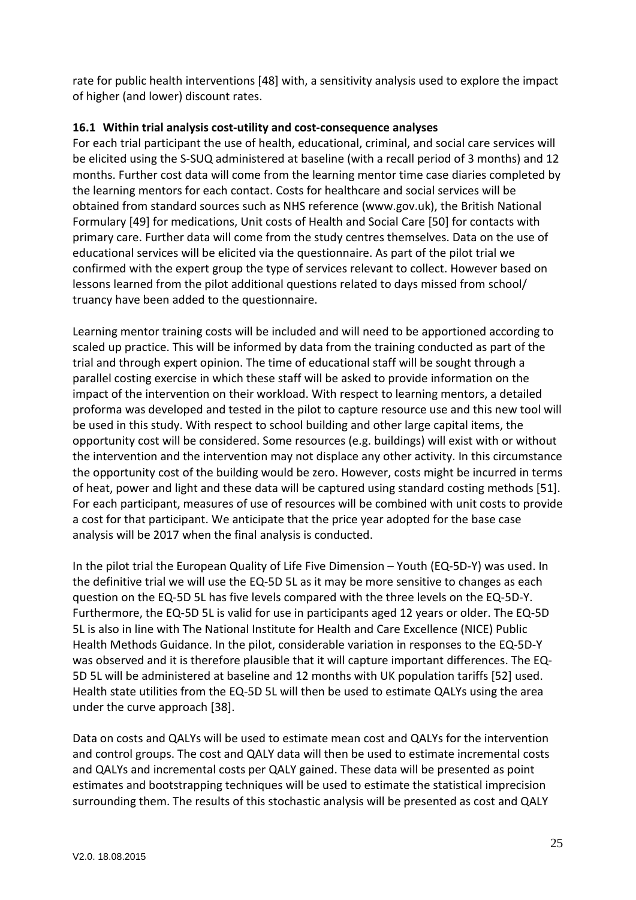rate for public health interventions [48] with, a sensitivity analysis used to explore the impact of higher (and lower) discount rates.

#### **16.1 Within trial analysis cost-utility and cost-consequence analyses**

For each trial participant the use of health, educational, criminal, and social care services will be elicited using the S-SUQ administered at baseline (with a recall period of 3 months) and 12 months. Further cost data will come from the learning mentor time case diaries completed by the learning mentors for each contact. Costs for healthcare and social services will be obtained from standard sources such as NHS reference (www.gov.uk), the British National Formulary [49] for medications, Unit costs of Health and Social Care [50] for contacts with primary care. Further data will come from the study centres themselves. Data on the use of educational services will be elicited via the questionnaire. As part of the pilot trial we confirmed with the expert group the type of services relevant to collect. However based on lessons learned from the pilot additional questions related to days missed from school/ truancy have been added to the questionnaire.

Learning mentor training costs will be included and will need to be apportioned according to scaled up practice. This will be informed by data from the training conducted as part of the trial and through expert opinion. The time of educational staff will be sought through a parallel costing exercise in which these staff will be asked to provide information on the impact of the intervention on their workload. With respect to learning mentors, a detailed proforma was developed and tested in the pilot to capture resource use and this new tool will be used in this study. With respect to school building and other large capital items, the opportunity cost will be considered. Some resources (e.g. buildings) will exist with or without the intervention and the intervention may not displace any other activity. In this circumstance the opportunity cost of the building would be zero. However, costs might be incurred in terms of heat, power and light and these data will be captured using standard costing methods [51]. For each participant, measures of use of resources will be combined with unit costs to provide a cost for that participant. We anticipate that the price year adopted for the base case analysis will be 2017 when the final analysis is conducted.

In the pilot trial the European Quality of Life Five Dimension – Youth (EQ-5D-Y) was used. In the definitive trial we will use the EQ-5D 5L as it may be more sensitive to changes as each question on the EQ-5D 5L has five levels compared with the three levels on the EQ-5D-Y. Furthermore, the EQ-5D 5L is valid for use in participants aged 12 years or older. The EQ-5D 5L is also in line with The National Institute for Health and Care Excellence (NICE) Public Health Methods Guidance. In the pilot, considerable variation in responses to the EQ-5D-Y was observed and it is therefore plausible that it will capture important differences. The EQ-5D 5L will be administered at baseline and 12 months with UK population tariffs [52] used. Health state utilities from the EQ-5D 5L will then be used to estimate QALYs using the area under the curve approach [38].

Data on costs and QALYs will be used to estimate mean cost and QALYs for the intervention and control groups. The cost and QALY data will then be used to estimate incremental costs and QALYs and incremental costs per QALY gained. These data will be presented as point estimates and bootstrapping techniques will be used to estimate the statistical imprecision surrounding them. The results of this stochastic analysis will be presented as cost and QALY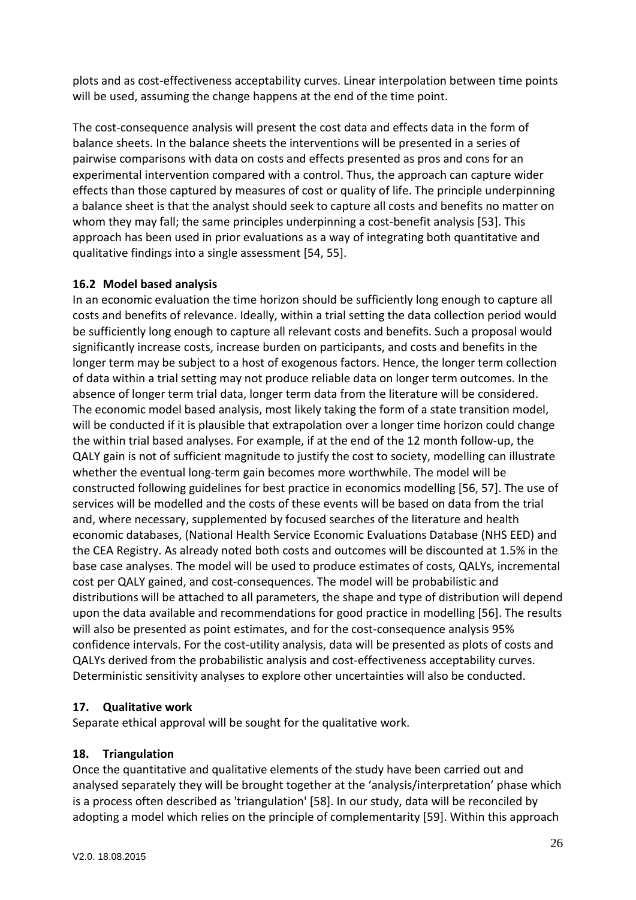plots and as cost-effectiveness acceptability curves. Linear interpolation between time points will be used, assuming the change happens at the end of the time point.

The cost-consequence analysis will present the cost data and effects data in the form of balance sheets. In the balance sheets the interventions will be presented in a series of pairwise comparisons with data on costs and effects presented as pros and cons for an experimental intervention compared with a control. Thus, the approach can capture wider effects than those captured by measures of cost or quality of life. The principle underpinning a balance sheet is that the analyst should seek to capture all costs and benefits no matter on whom they may fall; the same principles underpinning a cost-benefit analysis [53]. This approach has been used in prior evaluations as a way of integrating both quantitative and qualitative findings into a single assessment [54, 55].

### **16.2 Model based analysis**

In an economic evaluation the time horizon should be sufficiently long enough to capture all costs and benefits of relevance. Ideally, within a trial setting the data collection period would be sufficiently long enough to capture all relevant costs and benefits. Such a proposal would significantly increase costs, increase burden on participants, and costs and benefits in the longer term may be subject to a host of exogenous factors. Hence, the longer term collection of data within a trial setting may not produce reliable data on longer term outcomes. In the absence of longer term trial data, longer term data from the literature will be considered. The economic model based analysis, most likely taking the form of a state transition model, will be conducted if it is plausible that extrapolation over a longer time horizon could change the within trial based analyses. For example, if at the end of the 12 month follow-up, the QALY gain is not of sufficient magnitude to justify the cost to society, modelling can illustrate whether the eventual long-term gain becomes more worthwhile. The model will be constructed following guidelines for best practice in economics modelling [56, 57]. The use of services will be modelled and the costs of these events will be based on data from the trial and, where necessary, supplemented by focused searches of the literature and health economic databases, (National Health Service Economic Evaluations Database (NHS EED) and the CEA Registry. As already noted both costs and outcomes will be discounted at 1.5% in the base case analyses. The model will be used to produce estimates of costs, QALYs, incremental cost per QALY gained, and cost-consequences. The model will be probabilistic and distributions will be attached to all parameters, the shape and type of distribution will depend upon the data available and recommendations for good practice in modelling [56]. The results will also be presented as point estimates, and for the cost-consequence analysis 95% confidence intervals. For the cost-utility analysis, data will be presented as plots of costs and QALYs derived from the probabilistic analysis and cost-effectiveness acceptability curves. Deterministic sensitivity analyses to explore other uncertainties will also be conducted.

### **17. Qualitative work**

Separate ethical approval will be sought for the qualitative work.

### **18. Triangulation**

Once the quantitative and qualitative elements of the study have been carried out and analysed separately they will be brought together at the 'analysis/interpretation' phase which is a process often described as 'triangulation' [58]. In our study, data will be reconciled by adopting a model which relies on the principle of complementarity [59]. Within this approach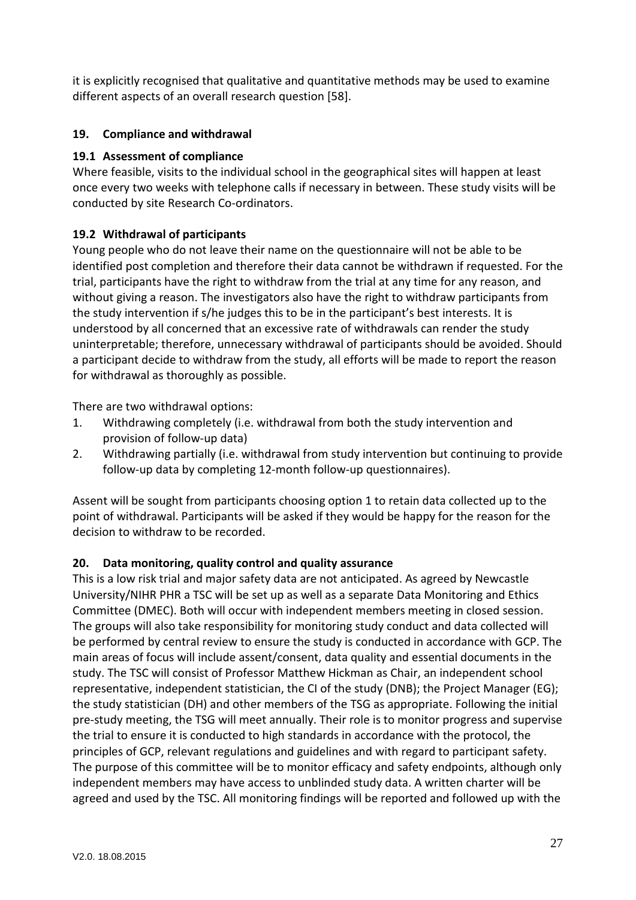it is explicitly recognised that qualitative and quantitative methods may be used to examine different aspects of an overall research question [58].

# **19. Compliance and withdrawal**

### **19.1 Assessment of compliance**

Where feasible, visits to the individual school in the geographical sites will happen at least once every two weeks with telephone calls if necessary in between. These study visits will be conducted by site Research Co-ordinators.

# **19.2 Withdrawal of participants**

Young people who do not leave their name on the questionnaire will not be able to be identified post completion and therefore their data cannot be withdrawn if requested. For the trial, participants have the right to withdraw from the trial at any time for any reason, and without giving a reason. The investigators also have the right to withdraw participants from the study intervention if s/he judges this to be in the participant's best interests. It is understood by all concerned that an excessive rate of withdrawals can render the study uninterpretable; therefore, unnecessary withdrawal of participants should be avoided. Should a participant decide to withdraw from the study, all efforts will be made to report the reason for withdrawal as thoroughly as possible.

There are two withdrawal options:

- 1. Withdrawing completely (i.e. withdrawal from both the study intervention and provision of follow-up data)
- 2. Withdrawing partially (i.e. withdrawal from study intervention but continuing to provide follow-up data by completing 12-month follow-up questionnaires).

Assent will be sought from participants choosing option 1 to retain data collected up to the point of withdrawal. Participants will be asked if they would be happy for the reason for the decision to withdraw to be recorded.

### **20. Data monitoring, quality control and quality assurance**

This is a low risk trial and major safety data are not anticipated. As agreed by Newcastle University/NIHR PHR a TSC will be set up as well as a separate Data Monitoring and Ethics Committee (DMEC). Both will occur with independent members meeting in closed session. The groups will also take responsibility for monitoring study conduct and data collected will be performed by central review to ensure the study is conducted in accordance with GCP. The main areas of focus will include assent/consent, data quality and essential documents in the study. The TSC will consist of Professor Matthew Hickman as Chair, an independent school representative, independent statistician, the CI of the study (DNB); the Project Manager (EG); the study statistician (DH) and other members of the TSG as appropriate. Following the initial pre-study meeting, the TSG will meet annually. Their role is to monitor progress and supervise the trial to ensure it is conducted to high standards in accordance with the protocol, the principles of GCP, relevant regulations and guidelines and with regard to participant safety. The purpose of this committee will be to monitor efficacy and safety endpoints, although only independent members may have access to unblinded study data. A written charter will be agreed and used by the TSC. All monitoring findings will be reported and followed up with the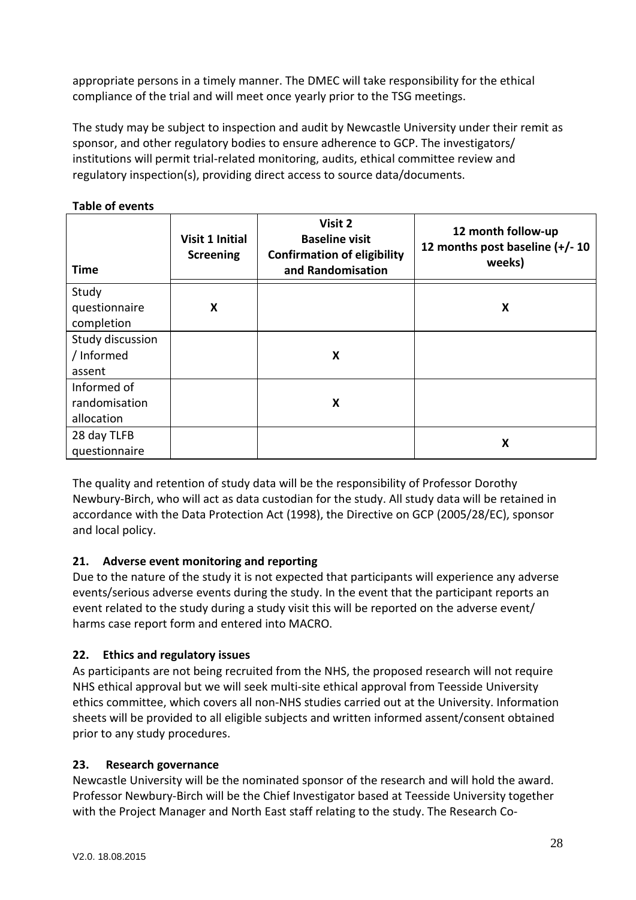appropriate persons in a timely manner. The DMEC will take responsibility for the ethical compliance of the trial and will meet once yearly prior to the TSG meetings.

The study may be subject to inspection and audit by Newcastle University under their remit as sponsor, and other regulatory bodies to ensure adherence to GCP. The investigators/ institutions will permit trial-related monitoring, audits, ethical committee review and regulatory inspection(s), providing direct access to source data/documents.

## **Table of events**

| Time             | <b>Visit 1 Initial</b><br><b>Screening</b> | Visit 2<br><b>Baseline visit</b><br><b>Confirmation of eligibility</b><br>and Randomisation | 12 month follow-up<br>12 months post baseline (+/-10<br>weeks) |
|------------------|--------------------------------------------|---------------------------------------------------------------------------------------------|----------------------------------------------------------------|
| Study            |                                            |                                                                                             |                                                                |
| questionnaire    | X                                          |                                                                                             | X                                                              |
| completion       |                                            |                                                                                             |                                                                |
| Study discussion |                                            |                                                                                             |                                                                |
| / Informed       |                                            | X                                                                                           |                                                                |
| assent           |                                            |                                                                                             |                                                                |
| Informed of      |                                            |                                                                                             |                                                                |
| randomisation    |                                            | X                                                                                           |                                                                |
| allocation       |                                            |                                                                                             |                                                                |
| 28 day TLFB      |                                            |                                                                                             | X                                                              |
| questionnaire    |                                            |                                                                                             |                                                                |

The quality and retention of study data will be the responsibility of Professor Dorothy Newbury-Birch, who will act as data custodian for the study. All study data will be retained in accordance with the Data Protection Act (1998), the Directive on GCP (2005/28/EC), sponsor and local policy.

### **21. Adverse event monitoring and reporting**

Due to the nature of the study it is not expected that participants will experience any adverse events/serious adverse events during the study. In the event that the participant reports an event related to the study during a study visit this will be reported on the adverse event/ harms case report form and entered into MACRO.

### **22. Ethics and regulatory issues**

As participants are not being recruited from the NHS, the proposed research will not require NHS ethical approval but we will seek multi-site ethical approval from Teesside University ethics committee, which covers all non-NHS studies carried out at the University. Information sheets will be provided to all eligible subjects and written informed assent/consent obtained prior to any study procedures.

### **23. Research governance**

Newcastle University will be the nominated sponsor of the research and will hold the award. Professor Newbury-Birch will be the Chief Investigator based at Teesside University together with the Project Manager and North East staff relating to the study. The Research Co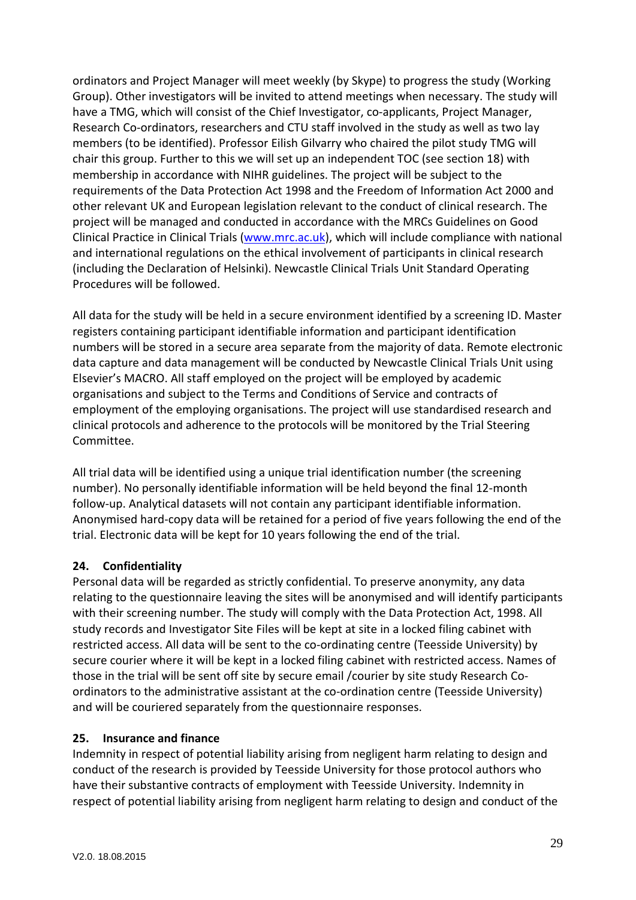ordinators and Project Manager will meet weekly (by Skype) to progress the study (Working Group). Other investigators will be invited to attend meetings when necessary. The study will have a TMG, which will consist of the Chief Investigator, co-applicants, Project Manager, Research Co-ordinators, researchers and CTU staff involved in the study as well as two lay members (to be identified). Professor Eilish Gilvarry who chaired the pilot study TMG will chair this group. Further to this we will set up an independent TOC (see section 18) with membership in accordance with NIHR guidelines. The project will be subject to the requirements of the Data Protection Act 1998 and the Freedom of Information Act 2000 and other relevant UK and European legislation relevant to the conduct of clinical research. The project will be managed and conducted in accordance with the MRCs Guidelines on Good Clinical Practice in Clinical Trials [\(www.mrc.ac.uk\)](http://www.mrc.ac.uk/), which will include compliance with national and international regulations on the ethical involvement of participants in clinical research (including the Declaration of Helsinki). Newcastle Clinical Trials Unit Standard Operating Procedures will be followed.

All data for the study will be held in a secure environment identified by a screening ID. Master registers containing participant identifiable information and participant identification numbers will be stored in a secure area separate from the majority of data. Remote electronic data capture and data management will be conducted by Newcastle Clinical Trials Unit using Elsevier's MACRO. All staff employed on the project will be employed by academic organisations and subject to the Terms and Conditions of Service and contracts of employment of the employing organisations. The project will use standardised research and clinical protocols and adherence to the protocols will be monitored by the Trial Steering Committee.

All trial data will be identified using a unique trial identification number (the screening number). No personally identifiable information will be held beyond the final 12-month follow-up. Analytical datasets will not contain any participant identifiable information. Anonymised hard-copy data will be retained for a period of five years following the end of the trial. Electronic data will be kept for 10 years following the end of the trial.

### **24. Confidentiality**

Personal data will be regarded as strictly confidential. To preserve anonymity, any data relating to the questionnaire leaving the sites will be anonymised and will identify participants with their screening number. The study will comply with the Data Protection Act, 1998. All study records and Investigator Site Files will be kept at site in a locked filing cabinet with restricted access. All data will be sent to the co-ordinating centre (Teesside University) by secure courier where it will be kept in a locked filing cabinet with restricted access. Names of those in the trial will be sent off site by secure email /courier by site study Research Coordinators to the administrative assistant at the co-ordination centre (Teesside University) and will be couriered separately from the questionnaire responses.

### **25. Insurance and finance**

Indemnity in respect of potential liability arising from negligent harm relating to design and conduct of the research is provided by Teesside University for those protocol authors who have their substantive contracts of employment with Teesside University. Indemnity in respect of potential liability arising from negligent harm relating to design and conduct of the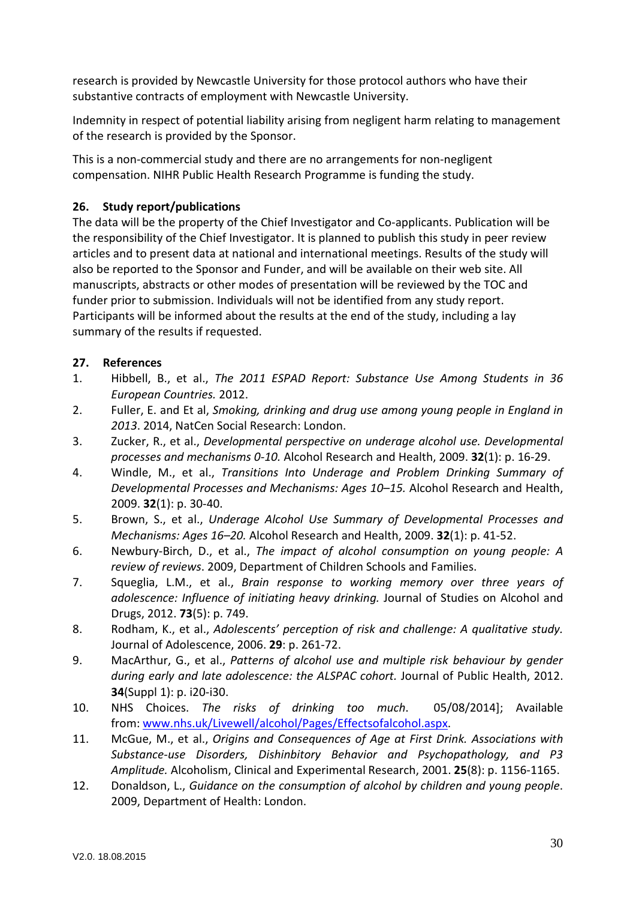research is provided by Newcastle University for those protocol authors who have their substantive contracts of employment with Newcastle University.

Indemnity in respect of potential liability arising from negligent harm relating to management of the research is provided by the Sponsor.

This is a non-commercial study and there are no arrangements for non-negligent compensation. NIHR Public Health Research Programme is funding the study.

# **26. Study report/publications**

The data will be the property of the Chief Investigator and Co-applicants. Publication will be the responsibility of the Chief Investigator. It is planned to publish this study in peer review articles and to present data at national and international meetings. Results of the study will also be reported to the Sponsor and Funder, and will be available on their web site. All manuscripts, abstracts or other modes of presentation will be reviewed by the TOC and funder prior to submission. Individuals will not be identified from any study report. Participants will be informed about the results at the end of the study, including a lay summary of the results if requested.

# **27. References**

- 1. Hibbell, B., et al., *The 2011 ESPAD Report: Substance Use Among Students in 36 European Countries.* 2012.
- 2. Fuller, E. and Et al, *Smoking, drinking and drug use among young people in England in 2013*. 2014, NatCen Social Research: London.
- 3. Zucker, R., et al., *Developmental perspective on underage alcohol use. Developmental processes and mechanisms 0-10.* Alcohol Research and Health, 2009. **32**(1): p. 16-29.
- 4. Windle, M., et al., *Transitions Into Underage and Problem Drinking Summary of Developmental Processes and Mechanisms: Ages 10–15.* Alcohol Research and Health, 2009. **32**(1): p. 30-40.
- 5. Brown, S., et al., *Underage Alcohol Use Summary of Developmental Processes and Mechanisms: Ages 16–20.* Alcohol Research and Health, 2009. **32**(1): p. 41-52.
- 6. Newbury-Birch, D., et al., *The impact of alcohol consumption on young people: A review of reviews*. 2009, Department of Children Schools and Families.
- 7. Squeglia, L.M., et al., *Brain response to working memory over three years of adolescence: Influence of initiating heavy drinking.* Journal of Studies on Alcohol and Drugs, 2012. **73**(5): p. 749.
- 8. Rodham, K., et al., *Adolescents' perception of risk and challenge: A qualitative study.* Journal of Adolescence, 2006. **29**: p. 261-72.
- 9. MacArthur, G., et al., *Patterns of alcohol use and multiple risk behaviour by gender during early and late adolescence: the ALSPAC cohort.* Journal of Public Health, 2012. **34**(Suppl 1): p. i20-i30.
- 10. NHS Choices. *The risks of drinking too much*. 05/08/2014]; Available from[: www.nhs.uk/Livewell/alcohol/Pages/Effectsofalcohol.aspx.](http://www.nhs.uk/Livewell/alcohol/Pages/Effectsofalcohol.aspx)
- 11. McGue, M., et al., *Origins and Consequences of Age at First Drink. Associations with Substance-use Disorders, Dishinbitory Behavior and Psychopathology, and P3 Amplitude.* Alcoholism, Clinical and Experimental Research, 2001. **25**(8): p. 1156-1165.
- 12. Donaldson, L., *Guidance on the consumption of alcohol by children and young people*. 2009, Department of Health: London.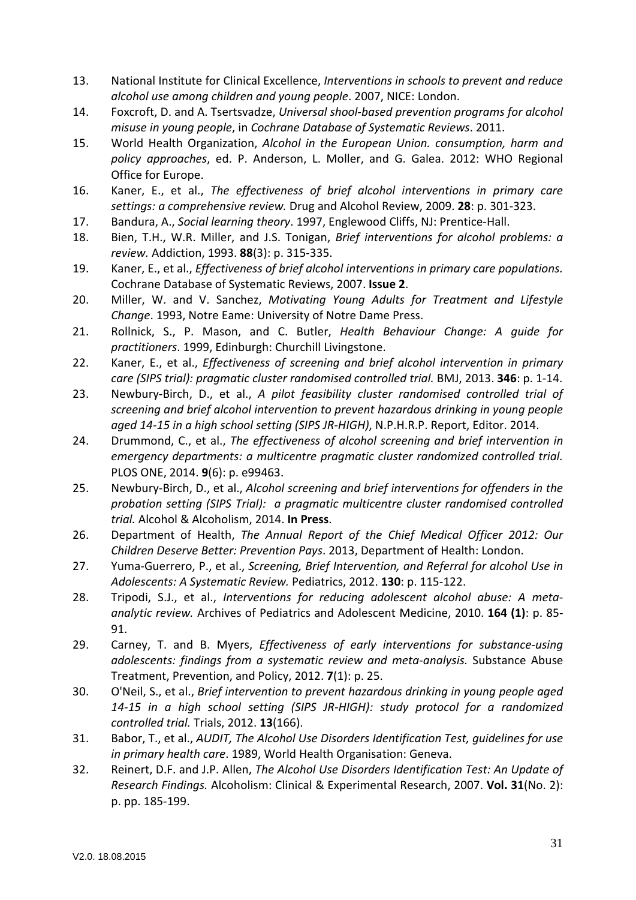- 13. National Institute for Clinical Excellence, *Interventions in schools to prevent and reduce alcohol use among children and young people*. 2007, NICE: London.
- 14. Foxcroft, D. and A. Tsertsvadze, *Universal shool-based prevention programs for alcohol misuse in young people*, in *Cochrane Database of Systematic Reviews*. 2011.
- 15. World Health Organization, *Alcohol in the European Union. consumption, harm and policy approaches*, ed. P. Anderson, L. Moller, and G. Galea. 2012: WHO Regional Office for Europe.
- 16. Kaner, E., et al., *The effectiveness of brief alcohol interventions in primary care settings: a comprehensive review.* Drug and Alcohol Review, 2009. **28**: p. 301-323.
- 17. Bandura, A., *Social learning theory*. 1997, Englewood Cliffs, NJ: Prentice-Hall.
- 18. Bien, T.H., W.R. Miller, and J.S. Tonigan, *Brief interventions for alcohol problems: a review.* Addiction, 1993. **88**(3): p. 315-335.
- 19. Kaner, E., et al., *Effectiveness of brief alcohol interventions in primary care populations.* Cochrane Database of Systematic Reviews, 2007. **Issue 2**.
- 20. Miller, W. and V. Sanchez, *Motivating Young Adults for Treatment and Lifestyle Change*. 1993, Notre Eame: University of Notre Dame Press.
- 21. Rollnick, S., P. Mason, and C. Butler, *Health Behaviour Change: A guide for practitioners*. 1999, Edinburgh: Churchill Livingstone.
- 22. Kaner, E., et al., *Effectiveness of screening and brief alcohol intervention in primary care (SIPS trial): pragmatic cluster randomised controlled trial.* BMJ, 2013. **346**: p. 1-14.
- 23. Newbury-Birch, D., et al., *A pilot feasibility cluster randomised controlled trial of screening and brief alcohol intervention to prevent hazardous drinking in young people aged 14-15 in a high school setting (SIPS JR-HIGH)*, N.P.H.R.P. Report, Editor. 2014.
- 24. Drummond, C., et al., *The effectiveness of alcohol screening and brief intervention in emergency departments: a multicentre pragmatic cluster randomized controlled trial.* PLOS ONE, 2014. **9**(6): p. e99463.
- 25. Newbury-Birch, D., et al., *Alcohol screening and brief interventions for offenders in the probation setting (SIPS Trial): a pragmatic multicentre cluster randomised controlled trial.* Alcohol & Alcoholism, 2014. **In Press**.
- 26. Department of Health, *The Annual Report of the Chief Medical Officer 2012: Our Children Deserve Better: Prevention Pays*. 2013, Department of Health: London.
- 27. Yuma-Guerrero, P., et al., *Screening, Brief Intervention, and Referral for alcohol Use in Adolescents: A Systematic Review.* Pediatrics, 2012. **130**: p. 115-122.
- 28. Tripodi, S.J., et al., *Interventions for reducing adolescent alcohol abuse: A metaanalytic review.* Archives of Pediatrics and Adolescent Medicine, 2010. **164 (1)**: p. 85- 91.
- 29. Carney, T. and B. Myers, *Effectiveness of early interventions for substance-using adolescents: findings from a systematic review and meta-analysis.* Substance Abuse Treatment, Prevention, and Policy, 2012. **7**(1): p. 25.
- 30. O'Neil, S., et al., *Brief intervention to prevent hazardous drinking in young people aged 14-15 in a high school setting (SIPS JR-HIGH): study protocol for a randomized controlled trial.* Trials, 2012. **13**(166).
- 31. Babor, T., et al., *AUDIT, The Alcohol Use Disorders Identification Test, guidelines for use in primary health care*. 1989, World Health Organisation: Geneva.
- 32. Reinert, D.F. and J.P. Allen, *The Alcohol Use Disorders Identification Test: An Update of Research Findings.* Alcoholism: Clinical & Experimental Research, 2007. **Vol. 31**(No. 2): p. pp. 185-199.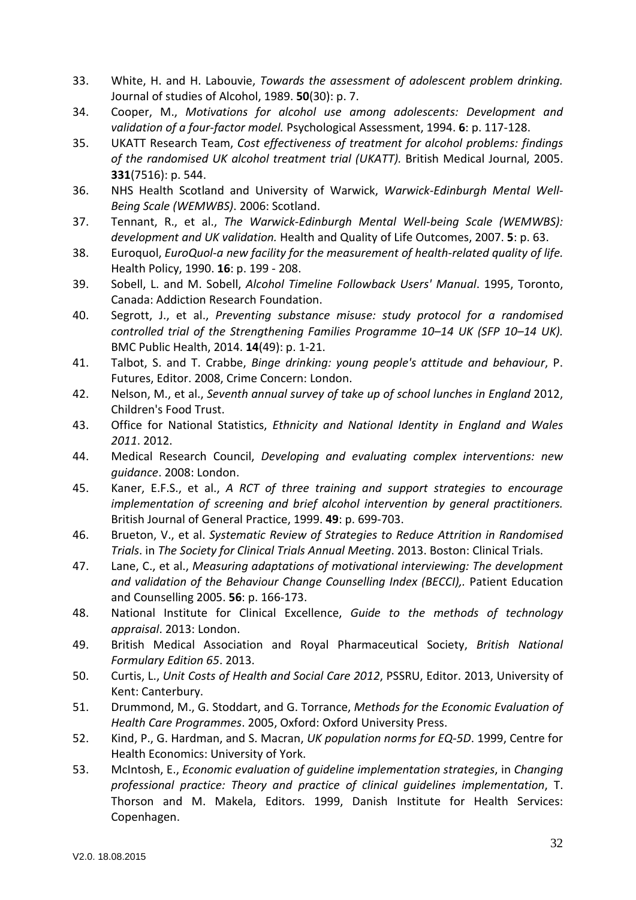- 33. White, H. and H. Labouvie, *Towards the assessment of adolescent problem drinking.* Journal of studies of Alcohol, 1989. **50**(30): p. 7.
- 34. Cooper, M., *Motivations for alcohol use among adolescents: Development and validation of a four-factor model.* Psychological Assessment, 1994. **6**: p. 117-128.
- 35. UKATT Research Team, *Cost effectiveness of treatment for alcohol problems: findings of the randomised UK alcohol treatment trial (UKATT).* British Medical Journal, 2005. **331**(7516): p. 544.
- 36. NHS Health Scotland and University of Warwick, *Warwick-Edinburgh Mental Well-Being Scale (WEMWBS)*. 2006: Scotland.
- 37. Tennant, R., et al., *The Warwick-Edinburgh Mental Well-being Scale (WEMWBS): development and UK validation.* Health and Quality of Life Outcomes, 2007. **5**: p. 63.
- 38. Euroquol, *EuroQuol-a new facility for the measurement of health-related quality of life.* Health Policy, 1990. **16**: p. 199 - 208.
- 39. Sobell, L. and M. Sobell, *Alcohol Timeline Followback Users' Manual*. 1995, Toronto, Canada: Addiction Research Foundation.
- 40. Segrott, J., et al., *Preventing substance misuse: study protocol for a randomised controlled trial of the Strengthening Families Programme 10–14 UK (SFP 10–14 UK).* BMC Public Health, 2014. **14**(49): p. 1-21.
- 41. Talbot, S. and T. Crabbe, *Binge drinking: young people's attitude and behaviour*, P. Futures, Editor. 2008, Crime Concern: London.
- 42. Nelson, M., et al., *Seventh annual survey of take up of school lunches in England* 2012, Children's Food Trust.
- 43. Office for National Statistics, *Ethnicity and National Identity in England and Wales 2011*. 2012.
- 44. Medical Research Council, *Developing and evaluating complex interventions: new guidance*. 2008: London.
- 45. Kaner, E.F.S., et al., *A RCT of three training and support strategies to encourage implementation of screening and brief alcohol intervention by general practitioners.* British Journal of General Practice, 1999. **49**: p. 699-703.
- 46. Brueton, V., et al. *Systematic Review of Strategies to Reduce Attrition in Randomised Trials*. in *The Society for Clinical Trials Annual Meeting*. 2013. Boston: Clinical Trials.
- 47. Lane, C., et al., *Measuring adaptations of motivational interviewing: The development and validation of the Behaviour Change Counselling Index (BECCI),.* Patient Education and Counselling 2005. **56**: p. 166-173.
- 48. National Institute for Clinical Excellence, *Guide to the methods of technology appraisal*. 2013: London.
- 49. British Medical Association and Royal Pharmaceutical Society, *British National Formulary Edition 65*. 2013.
- 50. Curtis, L., *Unit Costs of Health and Social Care 2012*, PSSRU, Editor. 2013, University of Kent: Canterbury.
- 51. Drummond, M., G. Stoddart, and G. Torrance, *Methods for the Economic Evaluation of Health Care Programmes*. 2005, Oxford: Oxford University Press.
- 52. Kind, P., G. Hardman, and S. Macran, *UK population norms for EQ-5D*. 1999, Centre for Health Economics: University of York.
- 53. McIntosh, E., *Economic evaluation of guideline implementation strategies*, in *Changing professional practice: Theory and practice of clinical guidelines implementation*, T. Thorson and M. Makela, Editors. 1999, Danish Institute for Health Services: Copenhagen.